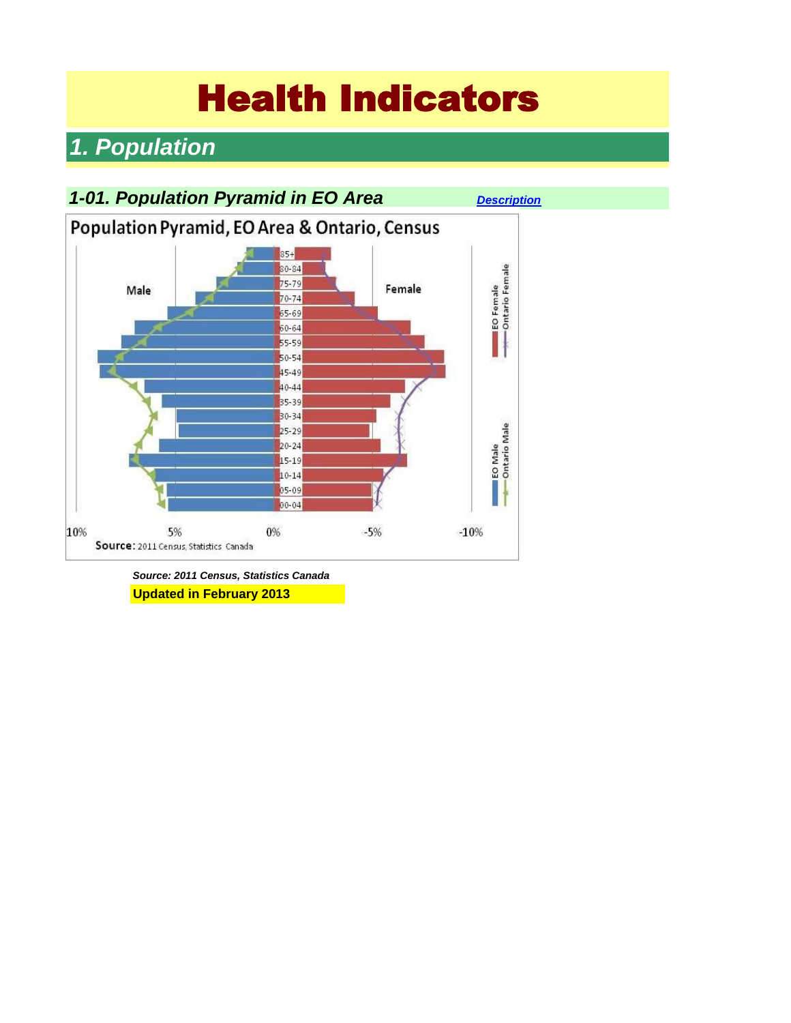# Health Indicators

# *1. Population*



*Source: 2011 Census, Statistics Canada* **Updated in February 2013**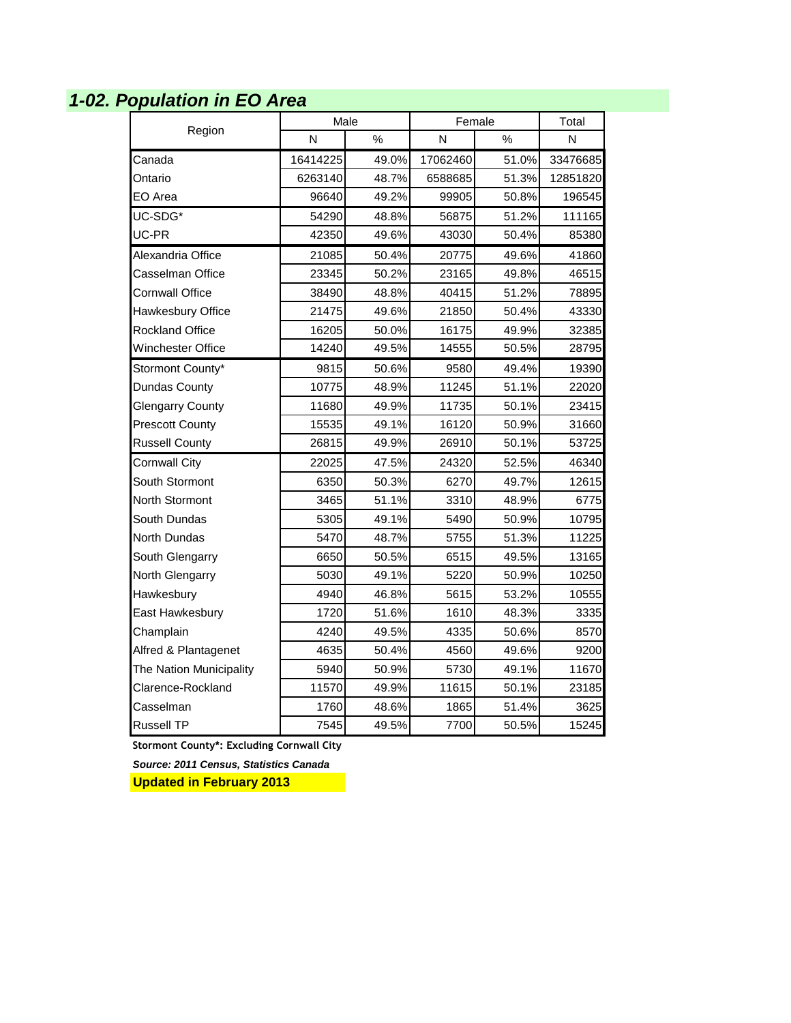# *1-02. Population in EO Area*

| Region                  | Male     |       | Female   | Total |          |
|-------------------------|----------|-------|----------|-------|----------|
|                         | N        | %     | N        | %     | N        |
| Canada                  | 16414225 | 49.0% | 17062460 | 51.0% | 33476685 |
| Ontario                 | 6263140  | 48.7% | 6588685  | 51.3% | 12851820 |
| EO Area                 | 96640    | 49.2% | 99905    | 50.8% | 196545   |
| UC-SDG*                 | 54290    | 48.8% | 56875    | 51.2% | 111165   |
| UC-PR                   | 42350    | 49.6% | 43030    | 50.4% | 85380    |
| Alexandria Office       | 21085    | 50.4% | 20775    | 49.6% | 41860    |
| Casselman Office        | 23345    | 50.2% | 23165    | 49.8% | 46515    |
| Cornwall Office         | 38490    | 48.8% | 40415    | 51.2% | 78895    |
| Hawkesbury Office       | 21475    | 49.6% | 21850    | 50.4% | 43330    |
| <b>Rockland Office</b>  | 16205    | 50.0% | 16175    | 49.9% | 32385    |
| Winchester Office       | 14240    | 49.5% | 14555    | 50.5% | 28795    |
| Stormont County*        | 9815     | 50.6% | 9580     | 49.4% | 19390    |
| Dundas County           | 10775    | 48.9% | 11245    | 51.1% | 22020    |
| <b>Glengarry County</b> | 11680    | 49.9% | 11735    | 50.1% | 23415    |
| <b>Prescott County</b>  | 15535    | 49.1% | 16120    | 50.9% | 31660    |
| <b>Russell County</b>   | 26815    | 49.9% | 26910    | 50.1% | 53725    |
| <b>Cornwall City</b>    | 22025    | 47.5% | 24320    | 52.5% | 46340    |
| South Stormont          | 6350     | 50.3% | 6270     | 49.7% | 12615    |
| North Stormont          | 3465     | 51.1% | 3310     | 48.9% | 6775     |
| South Dundas            | 5305     | 49.1% | 5490     | 50.9% | 10795    |
| North Dundas            | 5470     | 48.7% | 5755     | 51.3% | 11225    |
| South Glengarry         | 6650     | 50.5% | 6515     | 49.5% | 13165    |
| North Glengarry         | 5030     | 49.1% | 5220     | 50.9% | 10250    |
| Hawkesbury              | 4940     | 46.8% | 5615     | 53.2% | 10555    |
| East Hawkesbury         | 1720     | 51.6% | 1610     | 48.3% | 3335     |
| Champlain               | 4240     | 49.5% | 4335     | 50.6% | 8570     |
| Alfred & Plantagenet    | 4635     | 50.4% | 4560     | 49.6% | 9200     |
| The Nation Municipality | 5940     | 50.9% | 5730     | 49.1% | 11670    |
| Clarence-Rockland       | 11570    | 49.9% | 11615    | 50.1% | 23185    |
| Casselman               | 1760     | 48.6% | 1865     | 51.4% | 3625     |
| Russell TP              | 7545     | 49.5% | 7700     | 50.5% | 15245    |

**Stormont County\*: Excluding Cornwall City**

*Source: 2011 Census, Statistics Canada* **Updated in February 2013**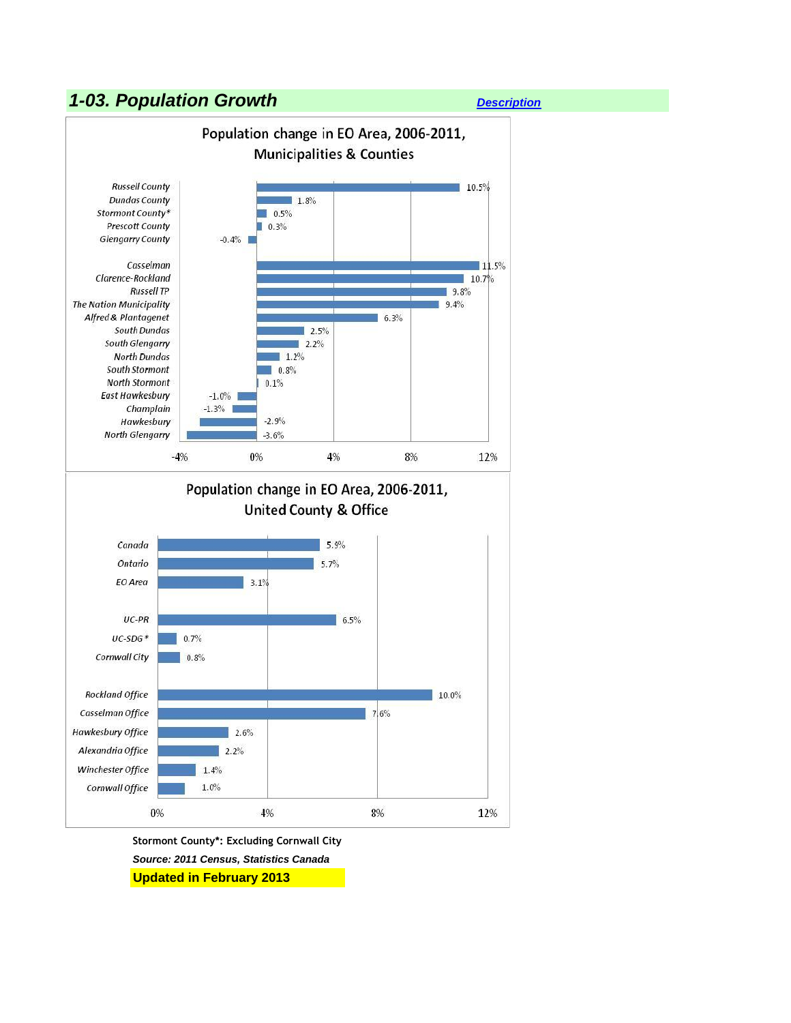#### *1-03. Population Growth [Description](http://www.apheo.ca/index.php?pid=61)*





*Source: 2011 Census, Statistics Canada* **Updated in February 2013**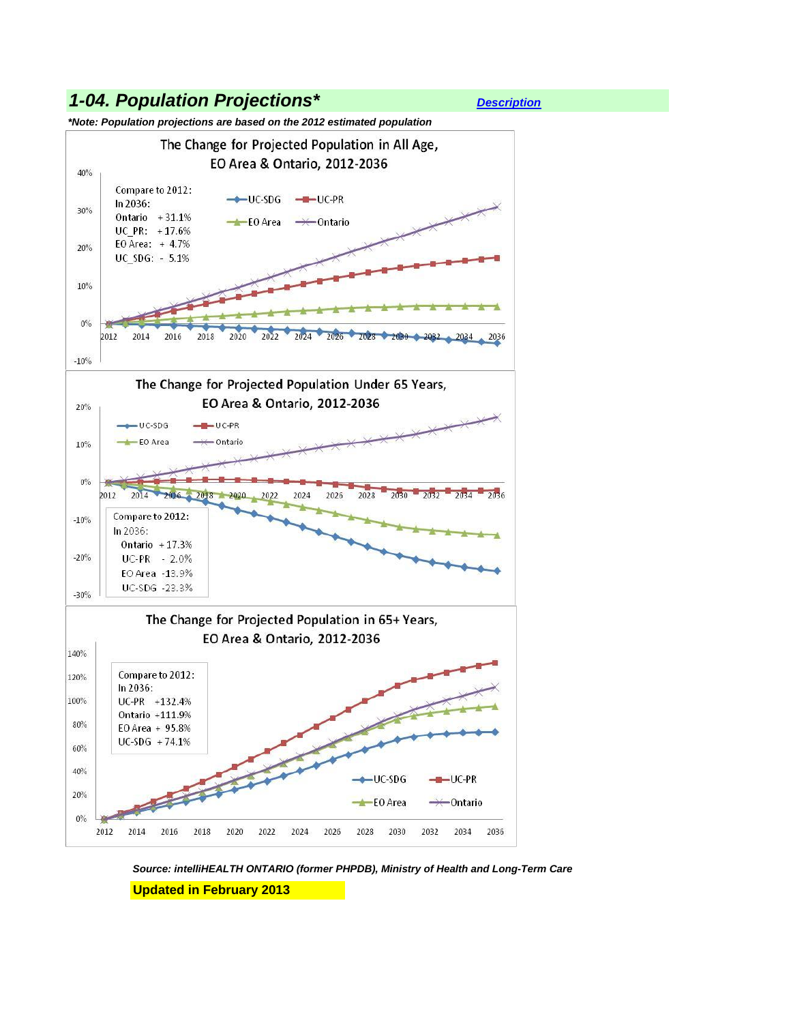

*Source: intelliHEALTH ONTARIO (former PHPDB), Ministry of Health and Long-Term Care* **Updated in February 2013**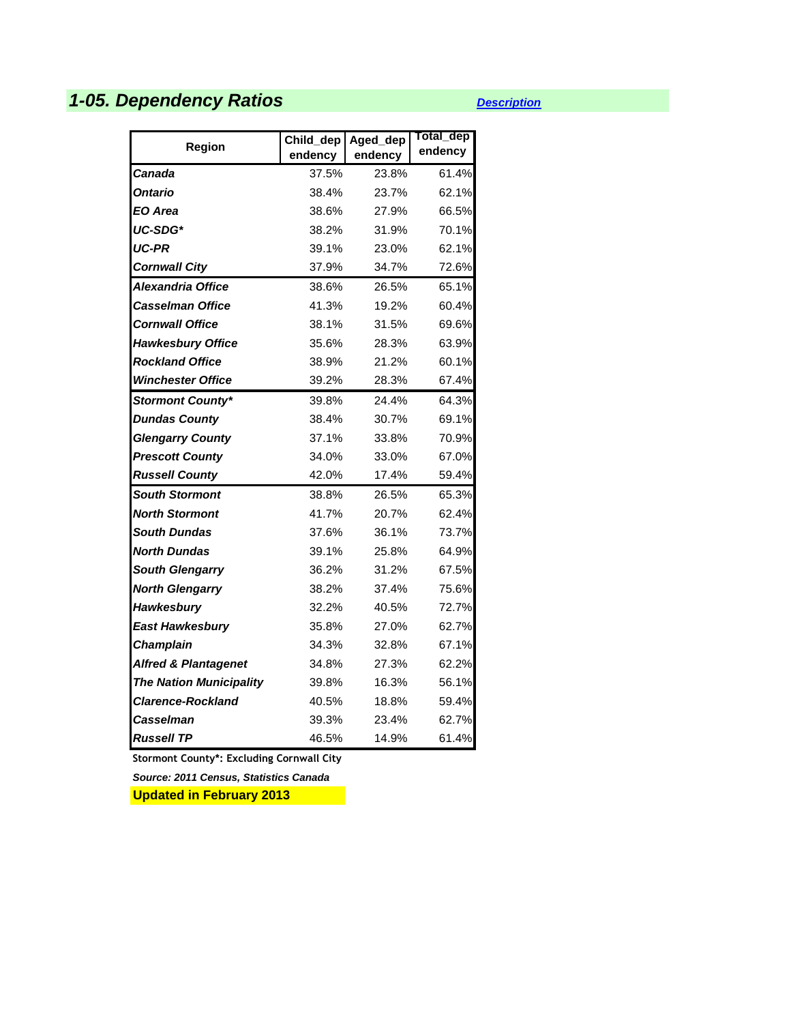# *1-05. Dependency Ratios [Description](http://www.apheo.ca/index.php?pid=63)*

| Region                          | Child_dep<br>endency | Aged_dep<br>endency | Total_dep<br>endency |
|---------------------------------|----------------------|---------------------|----------------------|
| Canada                          | 37.5%                | 23.8%               | 61.4%                |
| <b>Ontario</b>                  | 38.4%                | 23.7%               | 62.1%                |
| EO Area                         | 38.6%                | 27.9%               | 66.5%                |
| UC-SDG*                         | 38.2%                | 31.9%               | 70.1%                |
| <b>UC-PR</b>                    | 39.1%                | 23.0%               | 62.1%                |
| <b>Cornwall City</b>            | 37.9%                | 34.7%               | 72.6%                |
| Alexandria Office               | 38.6%                | 26.5%               | 65.1%                |
| <b>Casselman Office</b>         | 41.3%                | 19.2%               | 60.4%                |
| <b>Cornwall Office</b>          | 38.1%                | 31.5%               | 69.6%                |
| <b>Hawkesbury Office</b>        | 35.6%                | 28.3%               | 63.9%                |
| <b>Rockland Office</b>          | 38.9%                | 21.2%               | 60.1%                |
| <b>Winchester Office</b>        | 39.2%                | 28.3%               | 67.4%                |
| <b>Stormont County*</b>         | 39.8%                | 24.4%               | 64.3%                |
| <b>Dundas County</b>            | 38.4%                | 30.7%               | 69.1%                |
| <b>Glengarry County</b>         | 37.1%                | 33.8%               | 70.9%                |
| <b>Prescott County</b>          | 34.0%                | 33.0%               | 67.0%                |
| <b>Russell County</b>           | 42.0%                | 17.4%               | 59.4%                |
| <b>South Stormont</b>           | 38.8%                | 26.5%               | 65.3%                |
| <b>North Stormont</b>           | 41.7%                | 20.7%               | 62.4%                |
| <b>South Dundas</b>             | 37.6%                | 36.1%               | 73.7%                |
| North Dundas                    | 39.1%                | 25.8%               | 64.9%                |
| <b>South Glengarry</b>          | 36.2%                | 31.2%               | 67.5%                |
| <b>North Glengarry</b>          | 38.2%                | 37.4%               | 75.6%                |
| <b>Hawkesbury</b>               | 32.2%                | 40.5%               | 72.7%                |
| <b>East Hawkesbury</b>          | 35.8%                | 27.0%               | 62.7%                |
| <b>Champlain</b>                | 34.3%                | 32.8%               | 67.1%                |
| <b>Alfred &amp; Plantagenet</b> | 34.8%                | 27.3%               | 62.2%                |
| <b>The Nation Municipality</b>  | 39.8%                | 16.3%               | 56.1%                |
| <b>Clarence-Rockland</b>        | 40.5%                | 18.8%               | 59.4%                |
| Casselman                       | 39.3%                | 23.4%               | 62.7%                |
| <b>Russell TP</b>               | 46.5%                | 14.9%               | 61.4%                |

**Stormont County\*: Excluding Cornwall City**

*Source: 2011 Census, Statistics Canada*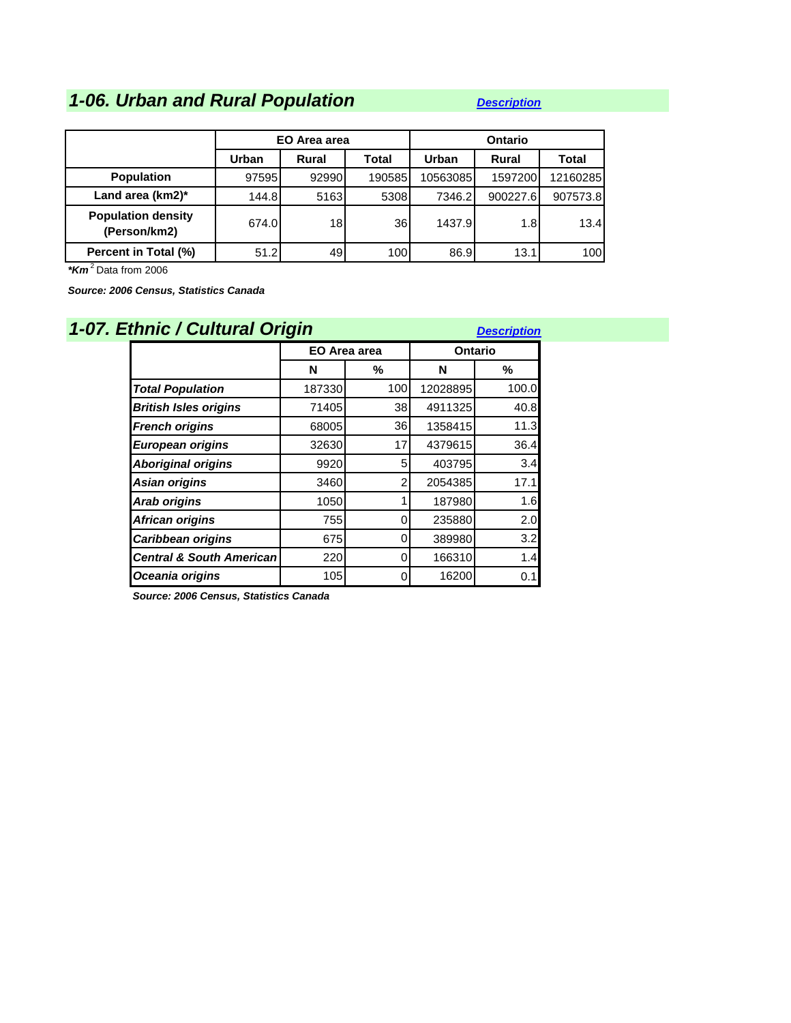# *1-06. Urban and Rural Population <i>[Description](http://www.apheo.ca/index.php?pid=64)*

|                                           |       | EO Area area |        |          | Ontario  |              |
|-------------------------------------------|-------|--------------|--------|----------|----------|--------------|
|                                           | Urban | Rural        | Total  | Urban    | Rural    | <b>Total</b> |
| <b>Population</b>                         | 97595 | 92990        | 190585 | 10563085 | 1597200  | 12160285     |
| Land area $(km2)^*$                       | 144.8 | 5163         | 5308   | 7346.2   | 900227.6 | 907573.8     |
| <b>Population density</b><br>(Person/km2) | 674.0 | 18           | 36     | 1437.9   | 1.8      | 13.4         |
| Percent in Total (%)                      | 51.2  | 49           | 100    | 86.9     | 13.1     | 100          |

*\*Km* <sup>2</sup>Data from 2006

*Source: 2006 Census, Statistics Canada*

| 1-07. Ethnic / Cultural Origin      |              |          |          | <b>Description</b> |  |
|-------------------------------------|--------------|----------|----------|--------------------|--|
|                                     | EO Area area |          | Ontario  |                    |  |
|                                     | N            | %        | N        | %                  |  |
| <b>Total Population</b>             | 187330       | 100      | 12028895 | 100.0              |  |
| <b>British Isles origins</b>        | 71405        | 38       | 4911325  | 40.8               |  |
| <b>French origins</b>               | 68005        | 36I      | 1358415  | 11.3               |  |
| <b>European origins</b>             | 32630        | 17       | 4379615  | 36.4               |  |
| <b>Aboriginal origins</b>           | 9920         | 5        | 403795   | 3.4                |  |
| Asian origins                       | 3460         | 2        | 2054385  | 17.1               |  |
| <b>Arab origins</b>                 | 1050         |          | 187980   | 1.6                |  |
| African origins                     | 755          | 0        | 235880   | 2.0                |  |
| Caribbean origins                   | 675          | 0        | 389980   | 3.2                |  |
| <b>Central &amp; South American</b> | 220          | 0        | 166310   | 1.4                |  |
| Oceania origins                     | 105          | $\Omega$ | 16200    | 0.1                |  |

*Source: 2006 Census, Statistics Canada*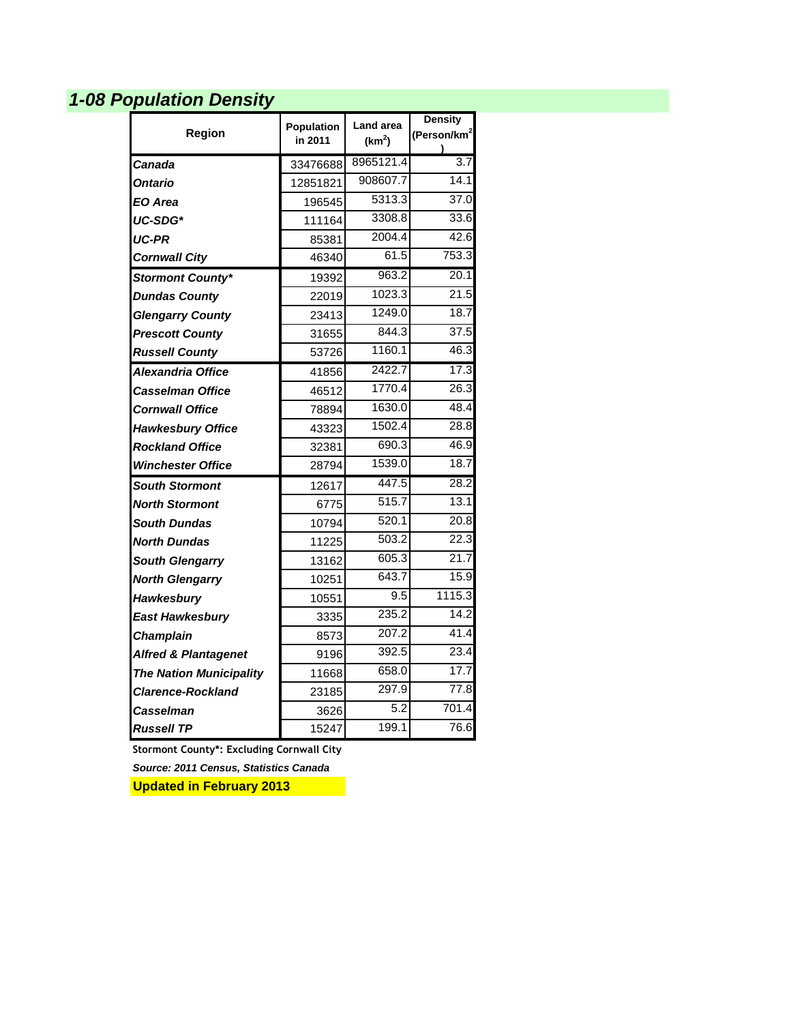# *1-08 Population Density*

|                                 | Population | <b>Land area</b>   | <b>Density</b>          |
|---------------------------------|------------|--------------------|-------------------------|
| Region                          | in 2011    | (km <sup>2</sup> ) | (Person/km <sup>2</sup> |
| Canada                          | 33476688   | 8965121.4          | $\overline{3.7}$        |
| <b>Ontario</b>                  | 12851821   | 908607.7           | 14.1                    |
| EO Area                         | 196545     | 5313.3             | 37.0                    |
| UC-SDG*                         | 111164     | 3308.8             | 33.6                    |
| <b>UC-PR</b>                    | 85381      | 2004.4             | 42.6                    |
| <b>Cornwall City</b>            | 46340      | 61.5               | 753.3                   |
| Stormont County*                | 19392      | 963.2              | 20.1                    |
| <b>Dundas County</b>            | 22019      | 1023.3             | 21.5                    |
| <b>Glengarry County</b>         | 23413      | 1249.0             | 18.7                    |
| <b>Prescott County</b>          | 31655      | 844.3              | 37.5                    |
| <b>Russell County</b>           | 53726      | 1160.1             | 46.3                    |
| Alexandria Office               | 41856      | 2422.7             | 17.3                    |
| <b>Casselman Office</b>         | 46512      | 1770.4             | 26.3                    |
| <b>Cornwall Office</b>          | 78894      | 1630.0             | 48.4                    |
| <b>Hawkesbury Office</b>        | 43323      | 1502.4             | 28.8                    |
| <b>Rockland Office</b>          | 32381      | 690.3              | 46.9                    |
| <b>Winchester Office</b>        | 28794      | 1539.0             | 18.7                    |
| <b>South Stormont</b>           | 12617      | 447.5              | 28.2                    |
| <b>North Stormont</b>           | 6775       | 515.7              | 13.1                    |
| <b>South Dundas</b>             | 10794      | 520.1              | 20.8                    |
| North Dundas                    | 11225      | 503.2              | 22.3                    |
| <b>South Glengarry</b>          | 13162      | 605.3              | 21.7                    |
| <b>North Glengarry</b>          | 10251      | 643.7              | 15.9                    |
| Hawkesbury                      | 10551      | 9.5                | 1115.3                  |
| East Hawkesbury                 | 3335       | 235.2              | 14.2                    |
| <b>Champlain</b>                | 8573       | 207.2              | 41.4                    |
| <b>Alfred &amp; Plantagenet</b> | 9196       | 392.5              | 23.4                    |
| <b>The Nation Municipality</b>  | 11668      | 658.0              | 17.7                    |
| <b>Clarence-Rockland</b>        | 23185      | 297.9              | 77.8                    |
| Casselman                       | 3626       | 5.2                | 701.4                   |
| <b>Russell TP</b>               | 15247      | 199.1              | 76.6                    |

**Stormont County\*: Excluding Cornwall City**

*Source: 2011 Census, Statistics Canada*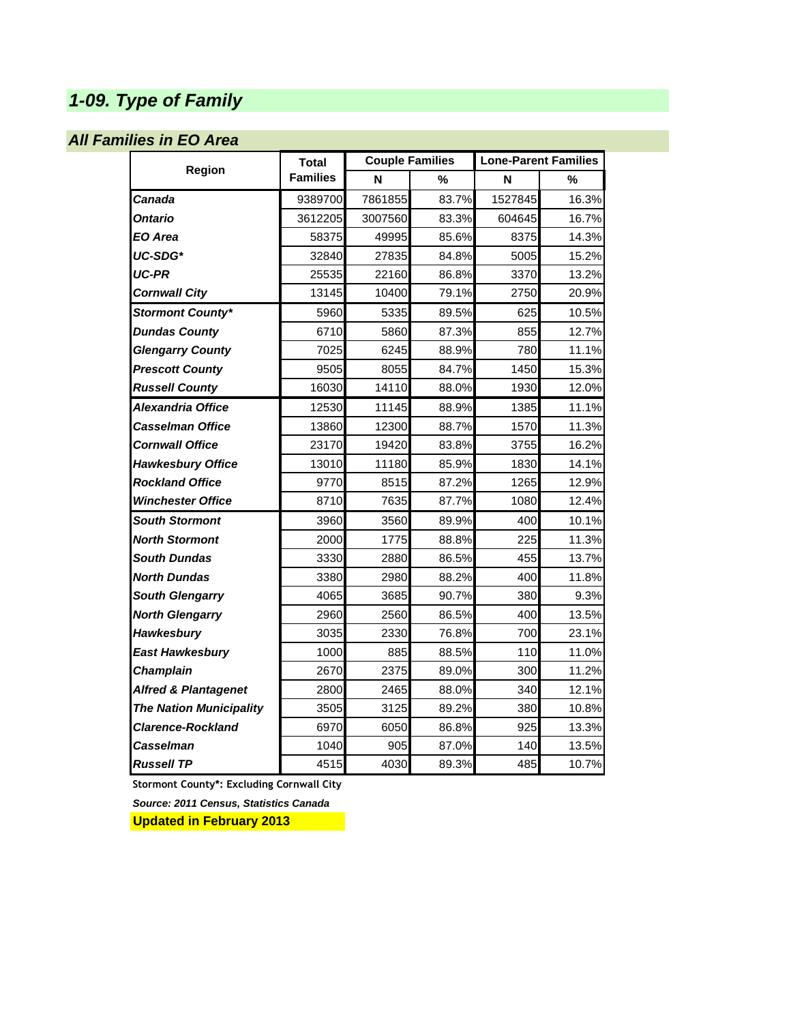# *1-09. Type of Family*

#### *All Families in EO Area*

|                                 | <b>Total</b>    |         | <b>Couple Families</b> |         | <b>Lone-Parent Families</b> |
|---------------------------------|-----------------|---------|------------------------|---------|-----------------------------|
| Region                          | <b>Families</b> | N       | %                      | N       | %                           |
| Canada                          | 9389700         | 7861855 | 83.7%                  | 1527845 | 16.3%                       |
| Ontario                         | 3612205         | 3007560 | 83.3%                  | 604645  | 16.7%                       |
| EO Area                         | 58375           | 49995   | 85.6%                  | 8375    | 14.3%                       |
| UC-SDG*                         | 32840           | 27835   | 84.8%                  | 5005    | 15.2%                       |
| UC-PR                           | 25535           | 22160   | 86.8%                  | 3370    | 13.2%                       |
| Cornwall City                   | 13145           | 10400   | 79.1%                  | 2750    | 20.9%                       |
| <b>Stormont County*</b>         | 5960            | 5335    | 89.5%                  | 625     | 10.5%                       |
| <b>Dundas County</b>            | 6710            | 5860    | 87.3%                  | 855     | 12.7%                       |
| <b>Glengarry County</b>         | 7025            | 6245    | 88.9%                  | 780     | 11.1%                       |
| <b>Prescott County</b>          | 9505            | 8055    | 84.7%                  | 1450    | 15.3%                       |
| <b>Russell County</b>           | 16030           | 14110   | 88.0%                  | 1930    | 12.0%                       |
| Alexandria Office               | 12530           | 11145   | 88.9%                  | 1385    | 11.1%                       |
| Casselman Office                | 13860           | 12300   | 88.7%                  | 1570    | 11.3%                       |
| <b>Cornwall Office</b>          | 23170           | 19420   | 83.8%                  | 3755    | 16.2%                       |
| <b>Hawkesbury Office</b>        | 13010           | 11180   | 85.9%                  | 1830    | 14.1%                       |
| <b>Rockland Office</b>          | 9770            | 8515    | 87.2%                  | 1265    | 12.9%                       |
| <b>Winchester Office</b>        | 8710            | 7635    | 87.7%                  | 1080    | 12.4%                       |
| <b>South Stormont</b>           | 3960            | 3560    | 89.9%                  | 400     | 10.1%                       |
| <b>North Stormont</b>           | 2000            | 1775    | 88.8%                  | 225     | 11.3%                       |
| South Dundas                    | 3330            | 2880    | 86.5%                  | 455     | 13.7%                       |
| North Dundas                    | 3380            | 2980    | 88.2%                  | 400     | 11.8%                       |
| <b>South Glengarry</b>          | 4065            | 3685    | 90.7%                  | 380     | 9.3%                        |
| <b>North Glengarry</b>          | 2960            | 2560    | 86.5%                  | 400     | 13.5%                       |
| <b>Hawkesbury</b>               | 3035            | 2330    | 76.8%                  | 700     | 23.1%                       |
| <b>East Hawkesbury</b>          | 1000            | 885     | 88.5%                  | 110     | 11.0%                       |
| Champlain                       | 2670            | 2375    | 89.0%                  | 300     | 11.2%                       |
| <b>Alfred &amp; Plantagenet</b> | 2800            | 2465    | 88.0%                  | 340     | 12.1%                       |
| <b>The Nation Municipality</b>  | 3505            | 3125    | 89.2%                  | 380     | 10.8%                       |
| <b>Clarence-Rockland</b>        | 6970            | 6050    | 86.8%                  | 925     | 13.3%                       |
| Casselman                       | 1040            | 905     | 87.0%                  | 140     | 13.5%                       |
| <b>Russell TP</b>               | 4515            | 4030    | 89.3%                  | 485     | 10.7%                       |

**Stormont County\*: Excluding Cornwall City**

*Source: 2011 Census, Statistics Canada*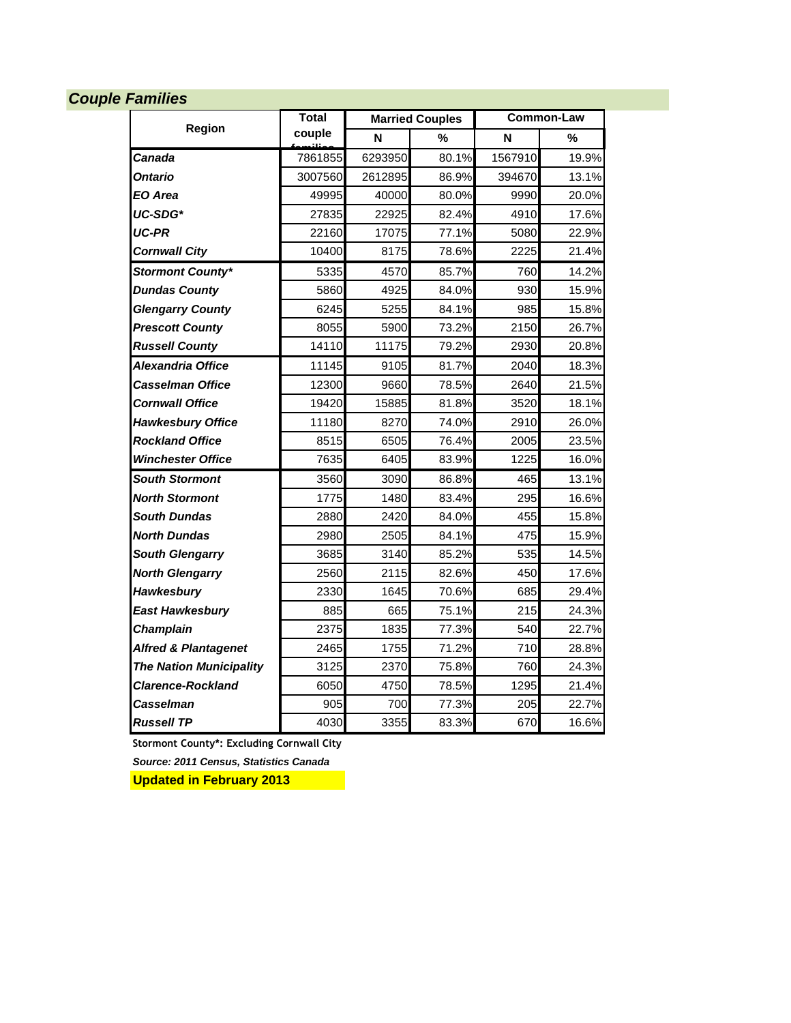#### *Couple Families*

|                                 | <b>Total</b> |         | <b>Married Couples</b> | <b>Common-Law</b> |       |
|---------------------------------|--------------|---------|------------------------|-------------------|-------|
| Region                          | couple       | N       | %                      | N                 | %     |
| Canada                          | 7861855      | 6293950 | 80.1%                  | 1567910           | 19.9% |
| Ontario                         | 3007560      | 2612895 | 86.9%                  | 394670            | 13.1% |
| EO Area                         | 49995        | 40000   | 80.0%                  | 9990              | 20.0% |
| UC-SDG*                         | 27835        | 22925   | 82.4%                  | 4910              | 17.6% |
| UC-PR                           | 22160        | 17075   | 77.1%                  | 5080              | 22.9% |
| <b>Cornwall City</b>            | 10400        | 8175    | 78.6%                  | 2225              | 21.4% |
| <b>Stormont County*</b>         | 5335         | 4570    | 85.7%                  | 760               | 14.2% |
| <b>Dundas County</b>            | 5860         | 4925    | 84.0%                  | 930               | 15.9% |
| <b>Glengarry County</b>         | 6245         | 5255    | 84.1%                  | 985               | 15.8% |
| <b>Prescott County</b>          | 8055         | 5900    | 73.2%                  | 2150              | 26.7% |
| <b>Russell County</b>           | 14110        | 11175   | 79.2%                  | 2930              | 20.8% |
| Alexandria Office               | 11145        | 9105    | 81.7%                  | 2040              | 18.3% |
| Casselman Office                | 12300        | 9660    | 78.5%                  | 2640              | 21.5% |
| <b>Cornwall Office</b>          | 19420        | 15885   | 81.8%                  | 3520              | 18.1% |
| <b>Hawkesbury Office</b>        | 11180        | 8270    | 74.0%                  | 2910              | 26.0% |
| <b>Rockland Office</b>          | 8515         | 6505    | 76.4%                  | 2005              | 23.5% |
| <b>Winchester Office</b>        | 7635         | 6405    | 83.9%                  | 1225              | 16.0% |
| <b>South Stormont</b>           | 3560         | 3090    | 86.8%                  | 465               | 13.1% |
| <b>North Stormont</b>           | 1775         | 1480    | 83.4%                  | 295               | 16.6% |
| <b>South Dundas</b>             | 2880         | 2420    | 84.0%                  | 455               | 15.8% |
| <b>North Dundas</b>             | 2980         | 2505    | 84.1%                  | 475               | 15.9% |
| <b>South Glengarry</b>          | 3685         | 3140    | 85.2%                  | 535               | 14.5% |
| <b>North Glengarry</b>          | 2560         | 2115    | 82.6%                  | 450               | 17.6% |
| Hawkesbury                      | 2330         | 1645    | 70.6%                  | 685               | 29.4% |
| <b>East Hawkesbury</b>          | 885          | 665     | 75.1%                  | 215               | 24.3% |
| Champlain                       | 2375         | 1835    | 77.3%                  | 540               | 22.7% |
| <b>Alfred &amp; Plantagenet</b> | 2465         | 1755    | 71.2%                  | 710               | 28.8% |
| <b>The Nation Municipality</b>  | 3125         | 2370    | 75.8%                  | 760               | 24.3% |
| Clarence-Rockland               | 6050         | 4750    | 78.5%                  | 1295              | 21.4% |
| Casselman                       | 905          | 700     | 77.3%                  | 205               | 22.7% |
| <b>Russell TP</b>               | 4030         | 3355    | 83.3%                  | 670               | 16.6% |

**Stormont County\*: Excluding Cornwall City**

*Source: 2011 Census, Statistics Canada*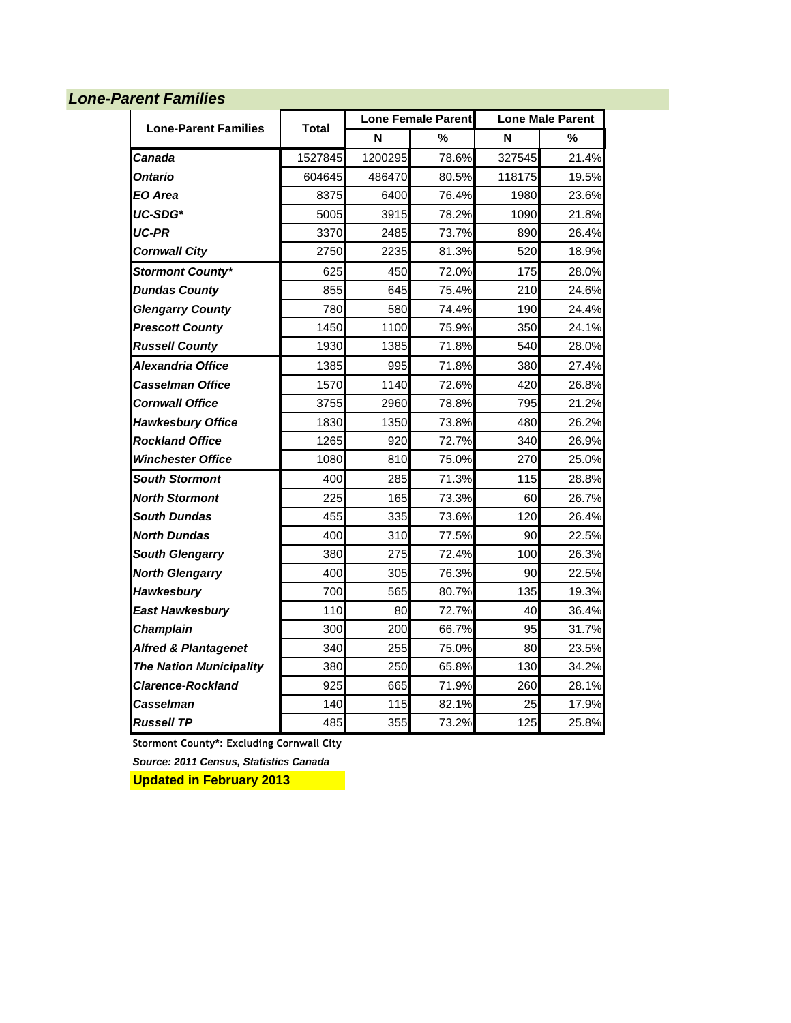#### *Lone-Parent Families*

| <b>Lone-Parent Families</b>     |         |         | <b>Lone Female Parent</b> | <b>Lone Male Parent</b> |       |  |
|---------------------------------|---------|---------|---------------------------|-------------------------|-------|--|
|                                 | Total   | N       | $\%$                      | N                       | %     |  |
| Canada                          | 1527845 | 1200295 | 78.6%                     | 327545                  | 21.4% |  |
| Ontario                         | 604645  | 486470  | 80.5%                     | 118175                  | 19.5% |  |
| EO Area                         | 8375    | 6400    | 76.4%                     | 1980                    | 23.6% |  |
| UC-SDG*                         | 5005    | 3915    | 78.2%                     | 1090                    | 21.8% |  |
| UC-PR                           | 3370    | 2485    | 73.7%                     | 890                     | 26.4% |  |
| <b>Cornwall City</b>            | 2750    | 2235    | 81.3%                     | 520                     | 18.9% |  |
| <b>Stormont County*</b>         | 625     | 450     | 72.0%                     | 175                     | 28.0% |  |
| <b>Dundas County</b>            | 855     | 645     | 75.4%                     | 210                     | 24.6% |  |
| <b>Glengarry County</b>         | 780     | 580     | 74.4%                     | 190                     | 24.4% |  |
| <b>Prescott County</b>          | 1450    | 1100    | 75.9%                     | 350                     | 24.1% |  |
| <b>Russell County</b>           | 1930    | 1385    | 71.8%                     | 540                     | 28.0% |  |
| Alexandria Office               | 1385    | 995     | 71.8%                     | 380                     | 27.4% |  |
| Casselman Office                | 1570    | 1140    | 72.6%                     | 420                     | 26.8% |  |
| <b>Cornwall Office</b>          | 3755    | 2960    | 78.8%                     | 795                     | 21.2% |  |
| <b>Hawkesbury Office</b>        | 1830    | 1350    | 73.8%                     | 480                     | 26.2% |  |
| <b>Rockland Office</b>          | 1265    | 920     | 72.7%                     | 340                     | 26.9% |  |
| <b>Winchester Office</b>        | 1080    | 810     | 75.0%                     | 270                     | 25.0% |  |
| <b>South Stormont</b>           | 400     | 285     | 71.3%                     | 115                     | 28.8% |  |
| <b>North Stormont</b>           | 225     | 165     | 73.3%                     | 60                      | 26.7% |  |
| South Dundas                    | 455     | 335     | 73.6%                     | 120                     | 26.4% |  |
| North Dundas                    | 400     | 310     | 77.5%                     | 90                      | 22.5% |  |
| <b>South Glengarry</b>          | 380     | 275     | 72.4%                     | 100                     | 26.3% |  |
| <b>North Glengarry</b>          | 400     | 305     | 76.3%                     | 90                      | 22.5% |  |
| Hawkesbury                      | 700     | 565     | 80.7%                     | 135                     | 19.3% |  |
| <b>East Hawkesbury</b>          | 110     | 80      | 72.7%                     | 40                      | 36.4% |  |
| <b>Champlain</b>                | 300     | 200     | 66.7%                     | 95                      | 31.7% |  |
| <b>Alfred &amp; Plantagenet</b> | 340     | 255     | 75.0%                     | 80                      | 23.5% |  |
| <b>The Nation Municipality</b>  | 380     | 250     | 65.8%                     | 130                     | 34.2% |  |
| <b>Clarence-Rockland</b>        | 925     | 665     | 71.9%                     | 260                     | 28.1% |  |
| Casselman                       | 140     | 115     | 82.1%                     | 25                      | 17.9% |  |
| <b>Russell TP</b>               | 485     | 355     | 73.2%                     | 125                     | 25.8% |  |

**Stormont County\*: Excluding Cornwall City**

*Source: 2011 Census, Statistics Canada*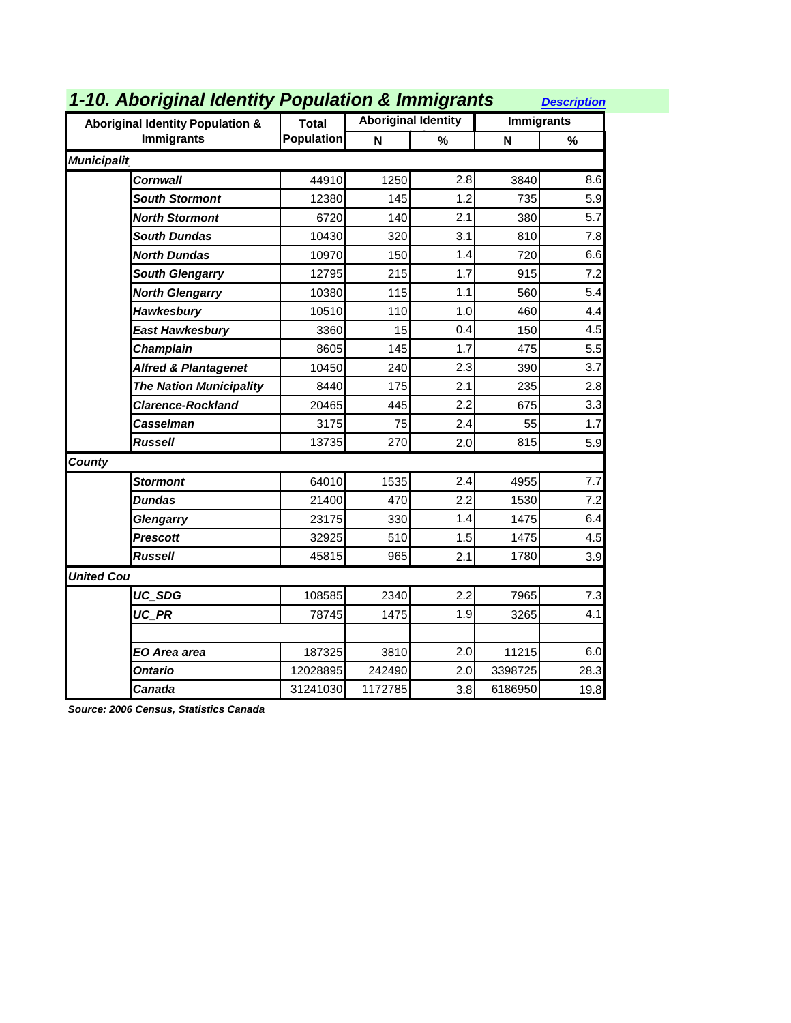| 1-10. Aboriginal Identity Population & Immigrants |                   |         |                            |                   |      |  |
|---------------------------------------------------|-------------------|---------|----------------------------|-------------------|------|--|
| <b>Aboriginal Identity Population &amp;</b>       | <b>Total</b>      |         | <b>Aboriginal Identity</b> | <b>Immigrants</b> |      |  |
| <b>Immigrants</b>                                 | <b>Population</b> | N       | $\frac{9}{6}$              | N                 | %    |  |
| <b>Municipalit</b>                                |                   |         |                            |                   |      |  |
| Cornwall                                          | 44910             | 1250    | 2.8                        | 3840              | 8.6  |  |
| <b>South Stormont</b>                             | 12380             | 145     | 1.2                        | 735               | 5.9  |  |
| <b>North Stormont</b>                             | 6720              | 140     | 2.1                        | 380               | 5.7  |  |
| <b>South Dundas</b>                               | 10430             | 320     | 3.1                        | 810               | 7.8  |  |
| North Dundas                                      | 10970             | 150     | 1.4                        | 720               | 6.6  |  |
| <b>South Glengarry</b>                            | 12795             | 215     | 1.7                        | 915               | 7.2  |  |
| <b>North Glengarry</b>                            | 10380             | 115     | 1.1                        | 560               | 5.4  |  |
| Hawkesbury                                        | 10510             | 110     | 1.0                        | 460               | 4.4  |  |
| East Hawkesbury                                   | 3360              | 15      | 0.4                        | 150               | 4.5  |  |
| <b>Champlain</b>                                  | 8605              | 145     | 1.7                        | 475               | 5.5  |  |
| <b>Alfred &amp; Plantagenet</b>                   | 10450             | 240     | 2.3                        | 390               | 3.7  |  |
| <b>The Nation Municipality</b>                    | 8440              | 175     | 2.1                        | 235               | 2.8  |  |
| <b>Clarence-Rockland</b>                          | 20465             | 445     | 2.2                        | 675               | 3.3  |  |
| Casselman                                         | 3175              | 75      | 2.4                        | 55                | 1.7  |  |
| <b>Russell</b>                                    | 13735             | 270     | 2.0                        | 815               | 5.9  |  |
| <b>County</b>                                     |                   |         |                            |                   |      |  |
| <b>Stormont</b>                                   | 64010             | 1535    | 2.4                        | 4955              | 7.7  |  |
| <b>Dundas</b>                                     | 21400             | 470     | 2.2                        | 1530              | 7.2  |  |
| Glengarry                                         | 23175             | 330     | 1.4                        | 1475              | 6.4  |  |
| <b>Prescott</b>                                   | 32925             | 510     | 1.5                        | 1475              | 4.5  |  |
| <b>Russell</b>                                    | 45815             | 965     | 2.1                        | 1780              | 3.9  |  |
| <b>United Cou</b>                                 |                   |         |                            |                   |      |  |
| UC SDG                                            | 108585            | 2340    | 2.2                        | 7965              | 7.3  |  |
| UC PR                                             | 78745             | 1475    | 1.9                        | 3265              | 4.1  |  |
|                                                   |                   |         |                            |                   |      |  |
| EO Area area                                      | 187325            | 3810    | 2.0                        | 11215             | 6.0  |  |
| Ontario                                           | 12028895          | 242490  | 2.0                        | 3398725           | 28.3 |  |
| Canada                                            | 31241030          | 1172785 | 3.8                        | 6186950           | 19.8 |  |

*Source: 2006 Census, Statistics Canada*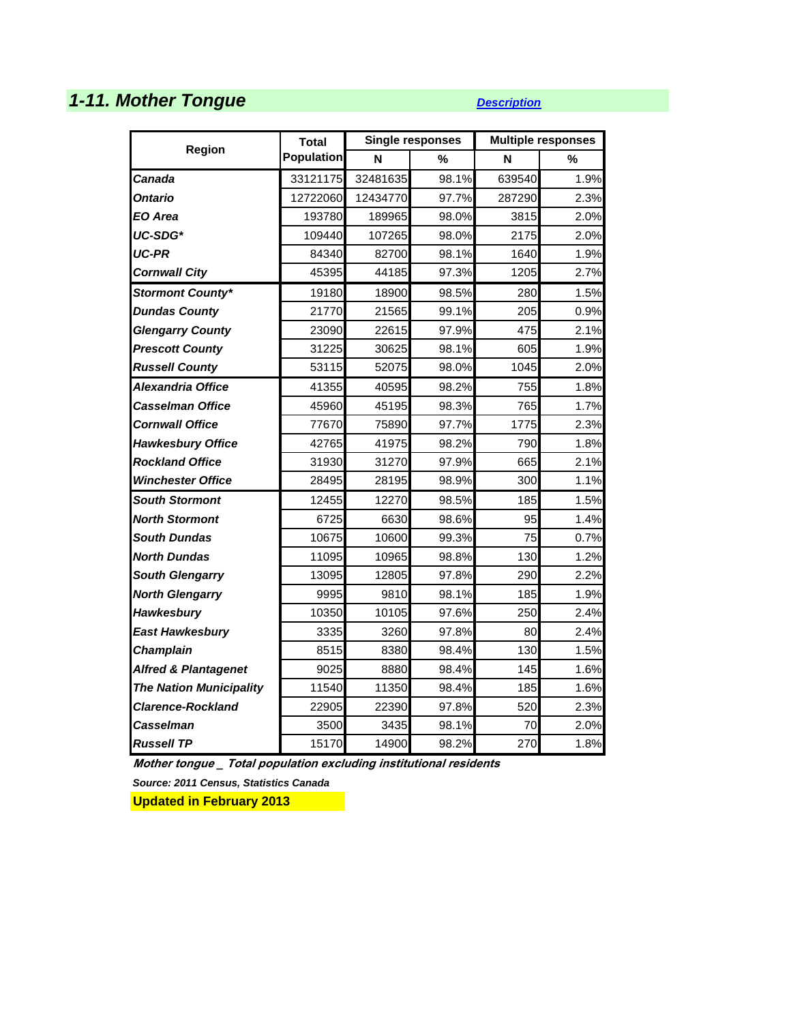# **1-11. Mother Tongue** *[Description](http://www.apheo.ca/index.php?pid=68)*

|                                 | <b>Total</b>      |          | <b>Single responses</b> | <b>Multiple responses</b> |      |  |
|---------------------------------|-------------------|----------|-------------------------|---------------------------|------|--|
| Region                          | <b>Population</b> | N        | %                       | N                         | %    |  |
| Canada                          | 33121175          | 32481635 | 98.1%                   | 639540                    | 1.9% |  |
| Ontario                         | 12722060          | 12434770 | 97.7%                   | 287290                    | 2.3% |  |
| EO Area                         | 193780            | 189965   | 98.0%                   | 3815                      | 2.0% |  |
| UC-SDG*                         | 109440            | 107265   | 98.0%                   | 2175                      | 2.0% |  |
| UC-PR                           | 84340             | 82700    | 98.1%                   | 1640                      | 1.9% |  |
| <b>Cornwall City</b>            | 45395             | 44185    | 97.3%                   | 1205                      | 2.7% |  |
| <b>Stormont County*</b>         | 19180             | 18900    | 98.5%                   | 280                       | 1.5% |  |
| <b>Dundas County</b>            | 21770             | 21565    | 99.1%                   | 205                       | 0.9% |  |
| <b>Glengarry County</b>         | 23090             | 22615    | 97.9%                   | 475                       | 2.1% |  |
| <b>Prescott County</b>          | 31225             | 30625    | 98.1%                   | 605                       | 1.9% |  |
| <b>Russell County</b>           | 53115             | 52075    | 98.0%                   | 1045                      | 2.0% |  |
| Alexandria Office               | 41355             | 40595    | 98.2%                   | 755                       | 1.8% |  |
| <b>Casselman Office</b>         | 45960             | 45195    | 98.3%                   | 765                       | 1.7% |  |
| <b>Cornwall Office</b>          | 77670             | 75890    | 97.7%                   | 1775                      | 2.3% |  |
| <b>Hawkesbury Office</b>        | 42765             | 41975    | 98.2%                   | 790                       | 1.8% |  |
| <b>Rockland Office</b>          | 31930             | 31270    | 97.9%                   | 665                       | 2.1% |  |
| <b>Winchester Office</b>        | 28495             | 28195    | 98.9%                   | 300                       | 1.1% |  |
| <b>South Stormont</b>           | 12455             | 12270    | 98.5%                   | 185                       | 1.5% |  |
| <b>North Stormont</b>           | 6725              | 6630     | 98.6%                   | 95                        | 1.4% |  |
| <b>South Dundas</b>             | 10675             | 10600    | 99.3%                   | 75                        | 0.7% |  |
| <b>North Dundas</b>             | 11095             | 10965    | 98.8%                   | 130                       | 1.2% |  |
| <b>South Glengarry</b>          | 13095             | 12805    | 97.8%                   | 290                       | 2.2% |  |
| <b>North Glengarry</b>          | 9995              | 9810     | 98.1%                   | 185                       | 1.9% |  |
| Hawkesbury                      | 10350             | 10105    | 97.6%                   | 250                       | 2.4% |  |
| <b>East Hawkesbury</b>          | 3335              | 3260     | 97.8%                   | 80                        | 2.4% |  |
| Champlain                       | 8515              | 8380     | 98.4%                   | 130                       | 1.5% |  |
| <b>Alfred &amp; Plantagenet</b> | 9025              | 8880     | 98.4%                   | 145                       | 1.6% |  |
| <b>The Nation Municipality</b>  | 11540             | 11350    | 98.4%                   | 185                       | 1.6% |  |
| <b>Clarence-Rockland</b>        | 22905             | 22390    | 97.8%                   | 520                       | 2.3% |  |
| Casselman                       | 3500              | 3435     | 98.1%                   | 70                        | 2.0% |  |
| <b>Russell TP</b>               | 15170             | 14900    | 98.2%                   | 270                       | 1.8% |  |

**Mother tongue \_ Total population excluding institutional residents**

*Source: 2011 Census, Statistics Canada*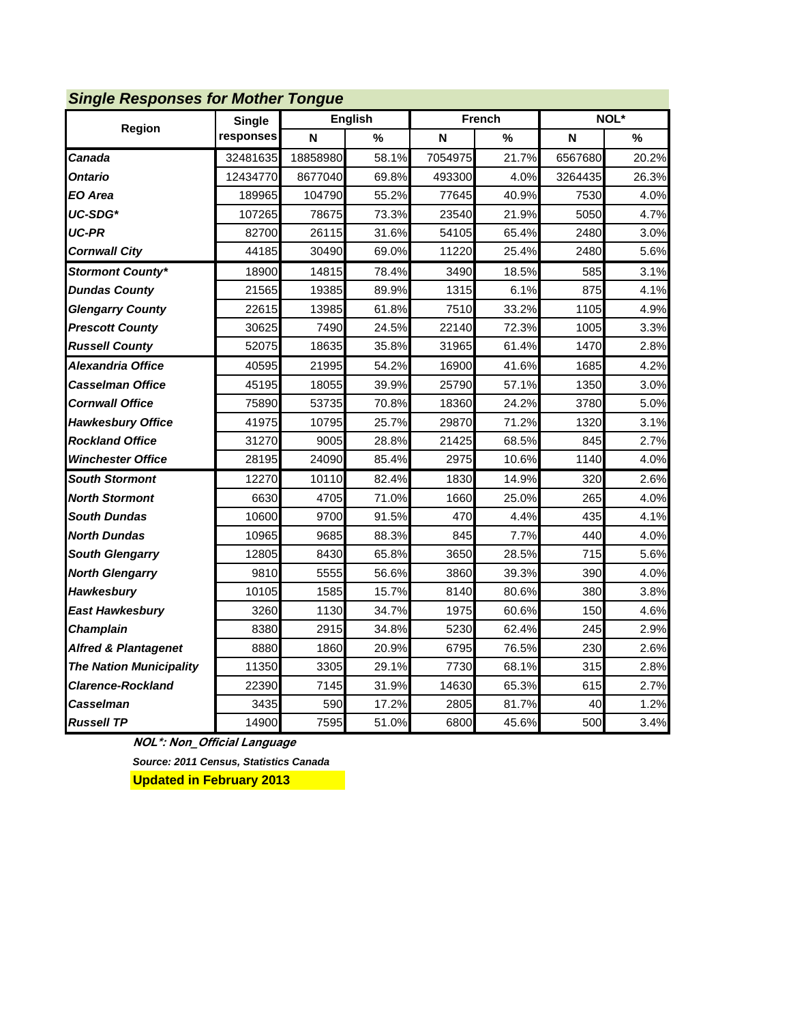| <b>Single Responses for Mother Tongue</b> |               |          |                |         |               |         |       |  |  |
|-------------------------------------------|---------------|----------|----------------|---------|---------------|---------|-------|--|--|
| Region                                    | <b>Single</b> |          | <b>English</b> |         | <b>French</b> |         | NOL*  |  |  |
|                                           | responses     | N        | %              | N       | %             | N       | %     |  |  |
| Canada                                    | 32481635      | 18858980 | 58.1%          | 7054975 | 21.7%         | 6567680 | 20.2% |  |  |
| Ontario                                   | 12434770      | 8677040  | 69.8%          | 493300  | 4.0%          | 3264435 | 26.3% |  |  |
| EO Area                                   | 189965        | 104790   | 55.2%          | 77645   | 40.9%         | 7530    | 4.0%  |  |  |
| UC-SDG*                                   | 107265        | 78675    | 73.3%          | 23540   | 21.9%         | 5050    | 4.7%  |  |  |
| <b>UC-PR</b>                              | 82700         | 26115    | 31.6%          | 54105   | 65.4%         | 2480    | 3.0%  |  |  |
| <b>Cornwall City</b>                      | 44185         | 30490    | 69.0%          | 11220   | 25.4%         | 2480    | 5.6%  |  |  |
| <b>Stormont County*</b>                   | 18900         | 14815    | 78.4%          | 3490    | 18.5%         | 585     | 3.1%  |  |  |
| <b>Dundas County</b>                      | 21565         | 19385    | 89.9%          | 1315    | 6.1%          | 875     | 4.1%  |  |  |
| <b>Glengarry County</b>                   | 22615         | 13985    | 61.8%          | 7510    | 33.2%         | 1105    | 4.9%  |  |  |
| <b>Prescott County</b>                    | 30625         | 7490     | 24.5%          | 22140   | 72.3%         | 1005    | 3.3%  |  |  |
| <b>Russell County</b>                     | 52075         | 18635    | 35.8%          | 31965   | 61.4%         | 1470    | 2.8%  |  |  |
| <b>Alexandria Office</b>                  | 40595         | 21995    | 54.2%          | 16900   | 41.6%         | 1685    | 4.2%  |  |  |
| <b>Casselman Office</b>                   | 45195         | 18055    | 39.9%          | 25790   | 57.1%         | 1350    | 3.0%  |  |  |
| <b>Cornwall Office</b>                    | 75890         | 53735    | 70.8%          | 18360   | 24.2%         | 3780    | 5.0%  |  |  |
| <b>Hawkesbury Office</b>                  | 41975         | 10795    | 25.7%          | 29870   | 71.2%         | 1320    | 3.1%  |  |  |
| <b>Rockland Office</b>                    | 31270         | 9005     | 28.8%          | 21425   | 68.5%         | 845     | 2.7%  |  |  |
| <b>Winchester Office</b>                  | 28195         | 24090    | 85.4%          | 2975    | 10.6%         | 1140    | 4.0%  |  |  |
| <b>South Stormont</b>                     | 12270         | 10110    | 82.4%          | 1830    | 14.9%         | 320     | 2.6%  |  |  |
| <b>North Stormont</b>                     | 6630          | 4705     | 71.0%          | 1660    | 25.0%         | 265     | 4.0%  |  |  |
| <b>South Dundas</b>                       | 10600         | 9700     | 91.5%          | 470     | 4.4%          | 435     | 4.1%  |  |  |
| <b>North Dundas</b>                       | 10965         | 9685     | 88.3%          | 845     | 7.7%          | 440     | 4.0%  |  |  |
| <b>South Glengarry</b>                    | 12805         | 8430     | 65.8%          | 3650    | 28.5%         | 715     | 5.6%  |  |  |
| <b>North Glengarry</b>                    | 9810          | 5555     | 56.6%          | 3860    | 39.3%         | 390     | 4.0%  |  |  |
| Hawkesbury                                | 10105         | 1585     | 15.7%          | 8140    | 80.6%         | 380     | 3.8%  |  |  |
| <b>East Hawkesbury</b>                    | 3260          | 1130     | 34.7%          | 1975    | 60.6%         | 150     | 4.6%  |  |  |
| Champlain                                 | 8380          | 2915     | 34.8%          | 5230    | 62.4%         | 245     | 2.9%  |  |  |
| <b>Alfred &amp; Plantagenet</b>           | 8880          | 1860     | 20.9%          | 6795    | 76.5%         | 230     | 2.6%  |  |  |
| <b>The Nation Municipality</b>            | 11350         | 3305     | 29.1%          | 7730    | 68.1%         | 315     | 2.8%  |  |  |
| <b>Clarence-Rockland</b>                  | 22390         | 7145     | 31.9%          | 14630   | 65.3%         | 615     | 2.7%  |  |  |
| Casselman                                 | 3435          | 590      | 17.2%          | 2805    | 81.7%         | 40      | 1.2%  |  |  |
| <b>Russell TP</b>                         | 14900         | 7595     | 51.0%          | 6800    | 45.6%         | 500     | 3.4%  |  |  |

#### *Single Responses for Mother Tongue*

**NOL\*: Non\_Official Language** *Source: 2011 Census, Statistics Canada*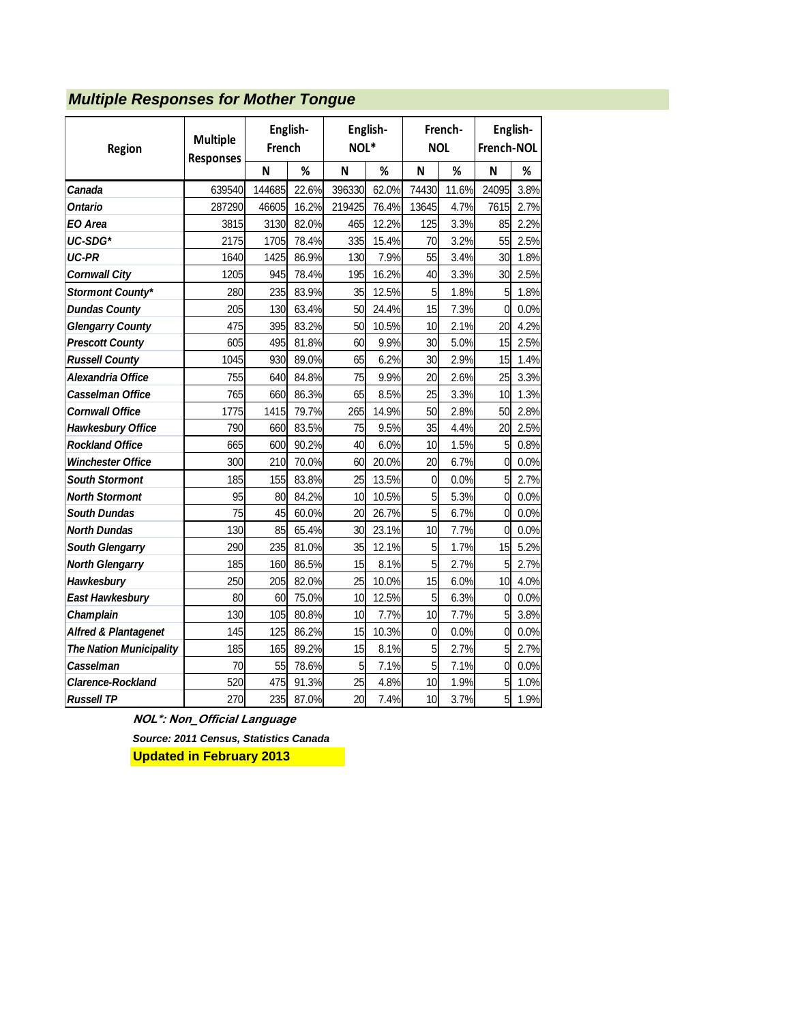#### *Multiple Responses for Mother Tongue*

| Region                          | <b>Multiple</b><br><b>Responses</b> | French | English- | English-<br>NOL* |       | French-<br><b>NOL</b> |       | English-<br>French-NOL |      |
|---------------------------------|-------------------------------------|--------|----------|------------------|-------|-----------------------|-------|------------------------|------|
|                                 |                                     | N      | %        | N                | %     | N                     | %     | N                      | %    |
| Canada                          | 639540                              | 144685 | 22.6%    | 396330           | 62.0% | 74430                 | 11.6% | 24095                  | 3.8% |
| Ontario                         | 287290                              | 46605  | 16.2%    | 219425           | 76.4% | 13645                 | 4.7%  | 7615                   | 2.7% |
| EO Area                         | 3815                                | 3130   | 82.0%    | 465              | 12.2% | 125                   | 3.3%  | 85                     | 2.2% |
| UC-SDG*                         | 2175                                | 1705   | 78.4%    | 335              | 15.4% | 70                    | 3.2%  | 55                     | 2.5% |
| <b>UC-PR</b>                    | 1640                                | 1425   | 86.9%    | 130              | 7.9%  | 55                    | 3.4%  | 30                     | 1.8% |
| <b>Cornwall City</b>            | 1205                                | 945    | 78.4%    | 195              | 16.2% | 40                    | 3.3%  | 30                     | 2.5% |
| <b>Stormont County*</b>         | 280                                 | 235    | 83.9%    | 35               | 12.5% | 5                     | 1.8%  | 5                      | 1.8% |
| <b>Dundas County</b>            | 205                                 | 130    | 63.4%    | 50               | 24.4% | 15                    | 7.3%  | $\mathbf{0}$           | 0.0% |
| <b>Glengarry County</b>         | 475                                 | 395    | 83.2%    | 50               | 10.5% | 10                    | 2.1%  | 20                     | 4.2% |
| <b>Prescott County</b>          | 605                                 | 495    | 81.8%    | 60               | 9.9%  | 30                    | 5.0%  | 15                     | 2.5% |
| <b>Russell County</b>           | 1045                                | 930    | 89.0%    | 65               | 6.2%  | 30                    | 2.9%  | 15                     | 1.4% |
| Alexandria Office               | 755                                 | 640    | 84.8%    | 75               | 9.9%  | 20                    | 2.6%  | 25                     | 3.3% |
| Casselman Office                | 765                                 | 660    | 86.3%    | 65               | 8.5%  | 25                    | 3.3%  | 10                     | 1.3% |
| <b>Cornwall Office</b>          | 1775                                | 1415   | 79.7%    | 265              | 14.9% | 50                    | 2.8%  | 50                     | 2.8% |
| <b>Hawkesbury Office</b>        | 790                                 | 660    | 83.5%    | 75               | 9.5%  | 35                    | 4.4%  | 20                     | 2.5% |
| <b>Rockland Office</b>          | 665                                 | 600    | 90.2%    | 40               | 6.0%  | 10                    | 1.5%  | 5                      | 0.8% |
| <b>Winchester Office</b>        | 300                                 | 210    | 70.0%    | 60               | 20.0% | 20                    | 6.7%  | $\Omega$               | 0.0% |
| <b>South Stormont</b>           | 185                                 | 155    | 83.8%    | 25               | 13.5% | $\mathbf 0$           | 0.0%  | 5                      | 2.7% |
| <b>North Stormont</b>           | 95                                  | 80     | 84.2%    | 10               | 10.5% | 5                     | 5.3%  | $\mathbf{0}$           | 0.0% |
| <b>South Dundas</b>             | 75                                  | 45     | 60.0%    | 20               | 26.7% | 5                     | 6.7%  | 0                      | 0.0% |
| <b>North Dundas</b>             | 130                                 | 85     | 65.4%    | 30               | 23.1% | 10                    | 7.7%  | 0                      | 0.0% |
| <b>South Glengarry</b>          | 290                                 | 235    | 81.0%    | 35               | 12.1% | 5                     | 1.7%  | 15                     | 5.2% |
| <b>North Glengarry</b>          | 185                                 | 160    | 86.5%    | 15               | 8.1%  | 5                     | 2.7%  | 5                      | 2.7% |
| Hawkesbury                      | 250                                 | 205    | 82.0%    | 25               | 10.0% | 15                    | 6.0%  | 10                     | 4.0% |
| <b>East Hawkesbury</b>          | 80                                  | 60     | 75.0%    | 10               | 12.5% | 5                     | 6.3%  | $\mathbf 0$            | 0.0% |
| Champlain                       | 130                                 | 105    | 80.8%    | 10               | 7.7%  | 10                    | 7.7%  | 5                      | 3.8% |
| <b>Alfred &amp; Plantagenet</b> | 145                                 | 125    | 86.2%    | 15               | 10.3% | $\mathbf 0$           | 0.0%  | $\mathbf 0$            | 0.0% |
| <b>The Nation Municipality</b>  | 185                                 | 165    | 89.2%    | 15               | 8.1%  | 5                     | 2.7%  | 5                      | 2.7% |
| Casselman                       | 70                                  | 55     | 78.6%    | 5                | 7.1%  | 5                     | 7.1%  | 0                      | 0.0% |
| <b>Clarence-Rockland</b>        | 520                                 | 475    | 91.3%    | 25               | 4.8%  | 10                    | 1.9%  | 5                      | 1.0% |
| <b>Russell TP</b>               | 270                                 | 235    | 87.0%    | 20               | 7.4%  | 10                    | 3.7%  | 5                      | 1.9% |

**NOL\*: Non\_Official Language** *Source: 2011 Census, Statistics Canada*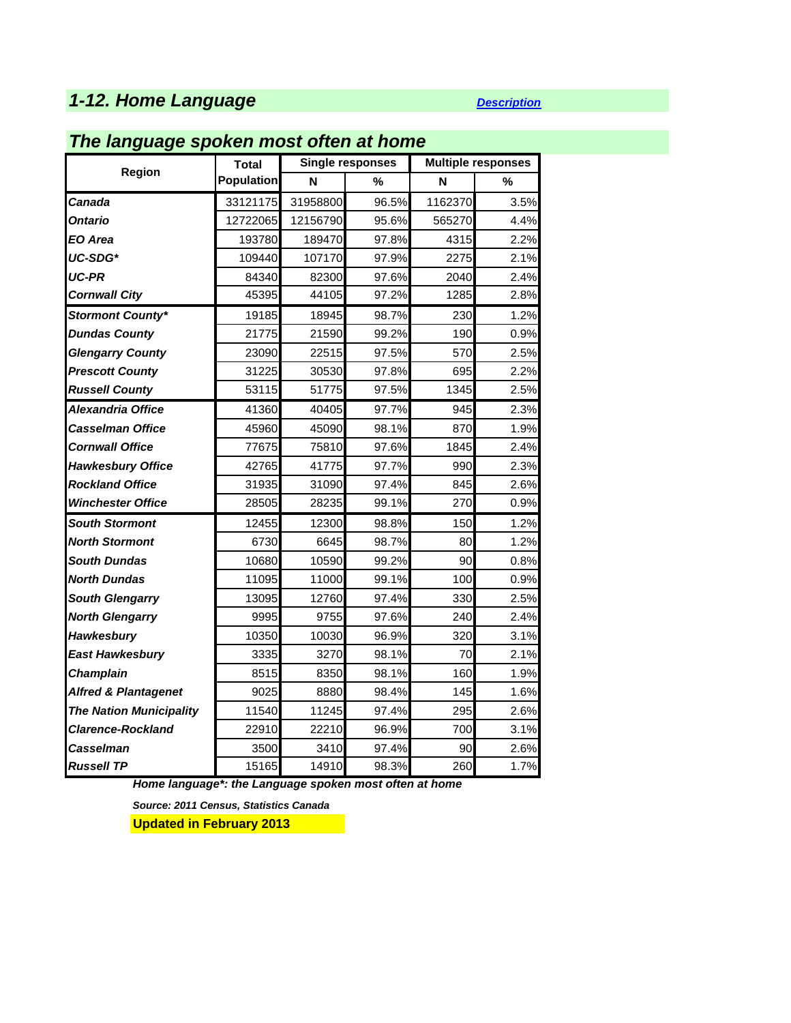# **1-12. Home Language** *[Description](http://www.apheo.ca/index.php?pid=69)*

### *The language spoken most often at home*

|                                 | <b>Total</b>      |          | <b>Single responses</b> | <b>Multiple responses</b> |      |  |
|---------------------------------|-------------------|----------|-------------------------|---------------------------|------|--|
| Region                          | <b>Population</b> | N        | %                       | N                         | %    |  |
| Canada                          | 33121175          | 31958800 | 96.5%                   | 1162370                   | 3.5% |  |
| Ontario                         | 12722065          | 12156790 | 95.6%                   | 565270                    | 4.4% |  |
| EO Area                         | 193780            | 189470   | 97.8%                   | 4315                      | 2.2% |  |
| UC-SDG*                         | 109440            | 107170   | 97.9%                   | 2275                      | 2.1% |  |
| UC-PR                           | 84340             | 82300    | 97.6%                   | 2040                      | 2.4% |  |
| <b>Cornwall City</b>            | 45395             | 44105    | 97.2%                   | 1285                      | 2.8% |  |
| <b>Stormont County*</b>         | 19185             | 18945    | 98.7%                   | 230                       | 1.2% |  |
| <b>Dundas County</b>            | 21775             | 21590    | 99.2%                   | 190                       | 0.9% |  |
| <b>Glengarry County</b>         | 23090             | 22515    | 97.5%                   | 570                       | 2.5% |  |
| <b>Prescott County</b>          | 31225             | 30530    | 97.8%                   | 695                       | 2.2% |  |
| <b>Russell County</b>           | 53115             | 51775    | 97.5%                   | 1345                      | 2.5% |  |
| Alexandria Office               | 41360             | 40405    | 97.7%                   | 945                       | 2.3% |  |
| Casselman Office                | 45960             | 45090    | 98.1%                   | 870                       | 1.9% |  |
| <b>Cornwall Office</b>          | 77675             | 75810    | 97.6%                   | 1845                      | 2.4% |  |
| <b>Hawkesbury Office</b>        | 42765             | 41775    | 97.7%                   | 990                       | 2.3% |  |
| <b>Rockland Office</b>          | 31935             | 31090    | 97.4%                   | 845                       | 2.6% |  |
| Winchester Office               | 28505             | 28235    | 99.1%                   | 270                       | 0.9% |  |
| <b>South Stormont</b>           | 12455             | 12300    | 98.8%                   | 150                       | 1.2% |  |
| <b>North Stormont</b>           | 6730              | 6645     | 98.7%                   | 80                        | 1.2% |  |
| <b>South Dundas</b>             | 10680             | 10590    | 99.2%                   | 90                        | 0.8% |  |
| <b>North Dundas</b>             | 11095             | 11000    | 99.1%                   | 100                       | 0.9% |  |
| <b>South Glengarry</b>          | 13095             | 12760    | 97.4%                   | 330                       | 2.5% |  |
| <b>North Glengarry</b>          | 9995              | 9755     | 97.6%                   | 240                       | 2.4% |  |
| <b>Hawkesbury</b>               | 10350             | 10030    | 96.9%                   | 320                       | 3.1% |  |
| <b>East Hawkesbury</b>          | 3335              | 3270     | 98.1%                   | 70                        | 2.1% |  |
| <b>Champlain</b>                | 8515              | 8350     | 98.1%                   | 160                       | 1.9% |  |
| <b>Alfred &amp; Plantagenet</b> | 9025              | 8880     | 98.4%                   | 145                       | 1.6% |  |
| <b>The Nation Municipality</b>  | 11540             | 11245    | 97.4%                   | 295                       | 2.6% |  |
| Clarence-Rockland               | 22910             | 22210    | 96.9%                   | 700                       | 3.1% |  |
| Casselman                       | 3500              | 3410     | 97.4%                   | 90                        | 2.6% |  |
| <b>Russell TP</b>               | 15165             | 14910    | 98.3%                   | 260                       | 1.7% |  |

*Home language\*: the Language spoken most often at home*

*Source: 2011 Census, Statistics Canada*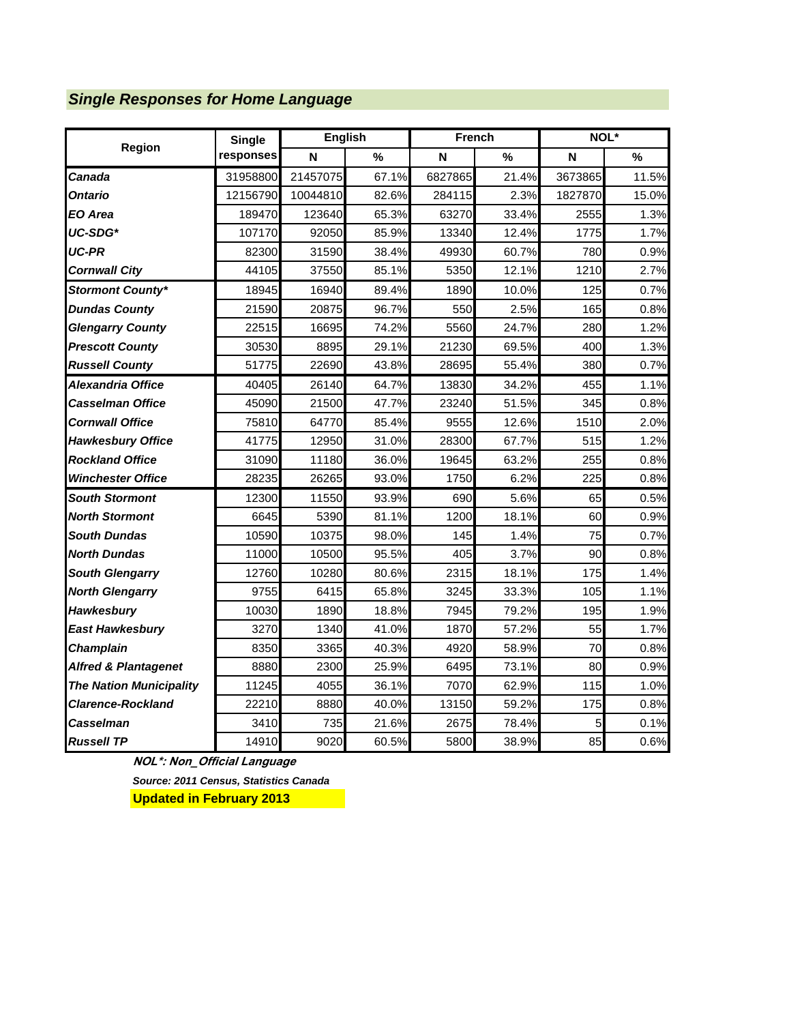# *Single Responses for Home Language*

|                                 | <b>Single</b> | <b>English</b> |               | <b>French</b> |               | NOL*    |       |  |
|---------------------------------|---------------|----------------|---------------|---------------|---------------|---------|-------|--|
| <b>Region</b>                   | responses     | N              | $\frac{9}{6}$ | N             | $\frac{9}{6}$ | N       | %     |  |
| Canada                          | 31958800      | 21457075       | 67.1%         | 6827865       | 21.4%         | 3673865 | 11.5% |  |
| Ontario                         | 12156790      | 10044810       | 82.6%         | 284115        | 2.3%          | 1827870 | 15.0% |  |
| EO Area                         | 189470        | 123640         | 65.3%         | 63270         | 33.4%         | 2555    | 1.3%  |  |
| UC-SDG*                         | 107170        | 92050          | 85.9%         | 13340         | 12.4%         | 1775    | 1.7%  |  |
| <b>UC-PR</b>                    | 82300         | 31590          | 38.4%         | 49930         | 60.7%         | 780     | 0.9%  |  |
| <b>Cornwall City</b>            | 44105         | 37550          | 85.1%         | 5350          | 12.1%         | 1210    | 2.7%  |  |
| <b>Stormont County*</b>         | 18945         | 16940          | 89.4%         | 1890          | 10.0%         | 125     | 0.7%  |  |
| <b>Dundas County</b>            | 21590         | 20875          | 96.7%         | 550           | 2.5%          | 165     | 0.8%  |  |
| <b>Glengarry County</b>         | 22515         | 16695          | 74.2%         | 5560          | 24.7%         | 280     | 1.2%  |  |
| <b>Prescott County</b>          | 30530         | 8895           | 29.1%         | 21230         | 69.5%         | 400     | 1.3%  |  |
| <b>Russell County</b>           | 51775         | 22690          | 43.8%         | 28695         | 55.4%         | 380     | 0.7%  |  |
| Alexandria Office               | 40405         | 26140          | 64.7%         | 13830         | 34.2%         | 455     | 1.1%  |  |
| Casselman Office                | 45090         | 21500          | 47.7%         | 23240         | 51.5%         | 345     | 0.8%  |  |
| <b>Cornwall Office</b>          | 75810         | 64770          | 85.4%         | 9555          | 12.6%         | 1510    | 2.0%  |  |
| <b>Hawkesbury Office</b>        | 41775         | 12950          | 31.0%         | 28300         | 67.7%         | 515     | 1.2%  |  |
| <b>Rockland Office</b>          | 31090         | 11180          | 36.0%         | 19645         | 63.2%         | 255     | 0.8%  |  |
| <b>Winchester Office</b>        | 28235         | 26265          | 93.0%         | 1750          | 6.2%          | 225     | 0.8%  |  |
| <b>South Stormont</b>           | 12300         | 11550          | 93.9%         | 690           | 5.6%          | 65      | 0.5%  |  |
| <b>North Stormont</b>           | 6645          | 5390           | 81.1%         | 1200          | 18.1%         | 60      | 0.9%  |  |
| <b>South Dundas</b>             | 10590         | 10375          | 98.0%         | 145           | 1.4%          | 75      | 0.7%  |  |
| <b>North Dundas</b>             | 11000         | 10500          | 95.5%         | 405           | 3.7%          | 90      | 0.8%  |  |
| <b>South Glengarry</b>          | 12760         | 10280          | 80.6%         | 2315          | 18.1%         | 175     | 1.4%  |  |
| <b>North Glengarry</b>          | 9755          | 6415           | 65.8%         | 3245          | 33.3%         | 105     | 1.1%  |  |
| Hawkesbury                      | 10030         | 1890           | 18.8%         | 7945          | 79.2%         | 195     | 1.9%  |  |
| <b>East Hawkesbury</b>          | 3270          | 1340           | 41.0%         | 1870          | 57.2%         | 55      | 1.7%  |  |
| <b>Champlain</b>                | 8350          | 3365           | 40.3%         | 4920          | 58.9%         | 70      | 0.8%  |  |
| <b>Alfred &amp; Plantagenet</b> | 8880          | 2300           | 25.9%         | 6495          | 73.1%         | 80      | 0.9%  |  |
| <b>The Nation Municipality</b>  | 11245         | 4055           | 36.1%         | 7070          | 62.9%         | 115     | 1.0%  |  |
| <b>Clarence-Rockland</b>        | 22210         | 8880           | 40.0%         | 13150         | 59.2%         | 175     | 0.8%  |  |
| Casselman                       | 3410          | 735            | 21.6%         | 2675          | 78.4%         | 5       | 0.1%  |  |
| <b>Russell TP</b>               | 14910         | 9020           | 60.5%         | 5800          | 38.9%         | 85      | 0.6%  |  |

**NOL\*: Non\_Official Language**

*Source: 2011 Census, Statistics Canada*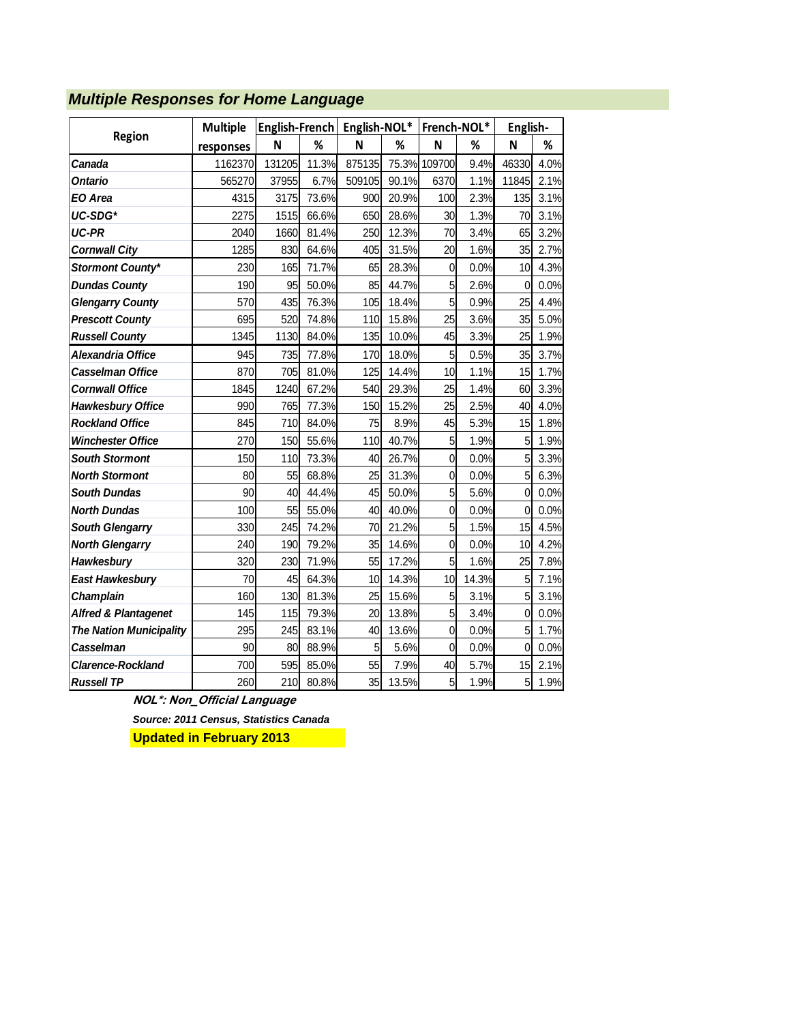|                                 | <b>Multiple</b> | English-French |       | English-NOL* |       | French-NOL*    |       | English-       |      |
|---------------------------------|-----------------|----------------|-------|--------------|-------|----------------|-------|----------------|------|
| Region                          | responses       | N              | ℅     | N            | ℅     | N              | ℅     | N              | %    |
| Canada                          | 1162370         | 131205         | 11.3% | 875135       |       | 75.3% 109700   | 9.4%  | 46330          | 4.0% |
| Ontario                         | 565270          | 37955          | 6.7%  | 509105       | 90.1% | 6370           | 1.1%  | 11845          | 2.1% |
| EO Area                         | 4315            | 3175           | 73.6% | 900          | 20.9% | 100            | 2.3%  | 135            | 3.1% |
| UC-SDG*                         | 2275            | 1515           | 66.6% | 650          | 28.6% | 30             | 1.3%  | 70             | 3.1% |
| UC-PR                           | 2040            | 1660           | 81.4% | 250          | 12.3% | 70             | 3.4%  | 65             | 3.2% |
| <b>Cornwall City</b>            | 1285            | 830            | 64.6% | 405          | 31.5% | 20             | 1.6%  | 35             | 2.7% |
| <b>Stormont County*</b>         | 230             | 165            | 71.7% | 65           | 28.3% | $\mathbf 0$    | 0.0%  | 10             | 4.3% |
| <b>Dundas County</b>            | 190             | 95             | 50.0% | 85           | 44.7% | 5              | 2.6%  | 0              | 0.0% |
| <b>Glengarry County</b>         | 570             | 435            | 76.3% | 105          | 18.4% | 5              | 0.9%  | 25             | 4.4% |
| <b>Prescott County</b>          | 695             | 520            | 74.8% | 110          | 15.8% | 25             | 3.6%  | 35             | 5.0% |
| <b>Russell County</b>           | 1345            | 1130           | 84.0% | 135          | 10.0% | 45             | 3.3%  | 25             | 1.9% |
| Alexandria Office               | 945             | 735            | 77.8% | 170          | 18.0% | 5              | 0.5%  | 35             | 3.7% |
| <b>Casselman Office</b>         | 870             | 705            | 81.0% | 125          | 14.4% | 10             | 1.1%  | 15             | 1.7% |
| <b>Cornwall Office</b>          | 1845            | 1240           | 67.2% | 540          | 29.3% | 25             | 1.4%  | 60             | 3.3% |
| <b>Hawkesbury Office</b>        | 990             | 765            | 77.3% | 150          | 15.2% | 25             | 2.5%  | 40             | 4.0% |
| <b>Rockland Office</b>          | 845             | 710            | 84.0% | 75           | 8.9%  | 45             | 5.3%  | 15             | 1.8% |
| <b>Winchester Office</b>        | 270             | 150            | 55.6% | 110          | 40.7% | 5              | 1.9%  | 5              | 1.9% |
| <b>South Stormont</b>           | 150             | 110            | 73.3% | 40           | 26.7% | $\overline{0}$ | 0.0%  | 5              | 3.3% |
| <b>North Stormont</b>           | 80              | 55             | 68.8% | 25           | 31.3% | $\mathbf 0$    | 0.0%  | 5              | 6.3% |
| <b>South Dundas</b>             | 90              | 40             | 44.4% | 45           | 50.0% | 5              | 5.6%  | $\mathbf 0$    | 0.0% |
| <b>North Dundas</b>             | 100             | 55             | 55.0% | 40           | 40.0% | $\overline{0}$ | 0.0%  | 0              | 0.0% |
| <b>South Glengarry</b>          | 330             | 245            | 74.2% | 70           | 21.2% | 5              | 1.5%  | 15             | 4.5% |
| <b>North Glengarry</b>          | 240             | 190            | 79.2% | 35           | 14.6% | $\overline{0}$ | 0.0%  | 10             | 4.2% |
| Hawkesbury                      | 320             | 230            | 71.9% | 55           | 17.2% | 5              | 1.6%  | 25             | 7.8% |
| <b>East Hawkesbury</b>          | 70              | 45             | 64.3% | 10           | 14.3% | 10             | 14.3% | 5              | 7.1% |
| Champlain                       | 160             | 130            | 81.3% | 25           | 15.6% | 5              | 3.1%  | 5              | 3.1% |
| <b>Alfred &amp; Plantagenet</b> | 145             | 115            | 79.3% | 20           | 13.8% | 5              | 3.4%  | $\overline{0}$ | 0.0% |
| <b>The Nation Municipality</b>  | 295             | 245            | 83.1% | 40           | 13.6% | $\overline{0}$ | 0.0%  | 5              | 1.7% |
| Casselman                       | 90              | 80             | 88.9% | 5            | 5.6%  | $\overline{0}$ | 0.0%  | $\mathbf{0}$   | 0.0% |
| <b>Clarence-Rockland</b>        | 700             | 595            | 85.0% | 55           | 7.9%  | 40             | 5.7%  | 15             | 2.1% |
| <b>Russell TP</b>               | 260             | 210            | 80.8% | 35           | 13.5% | 5 <sup>1</sup> | 1.9%  | 5              | 1.9% |

# *Multiple Responses for Home Language*

**NOL\*: Non\_Official Language**

*Source: 2011 Census, Statistics Canada*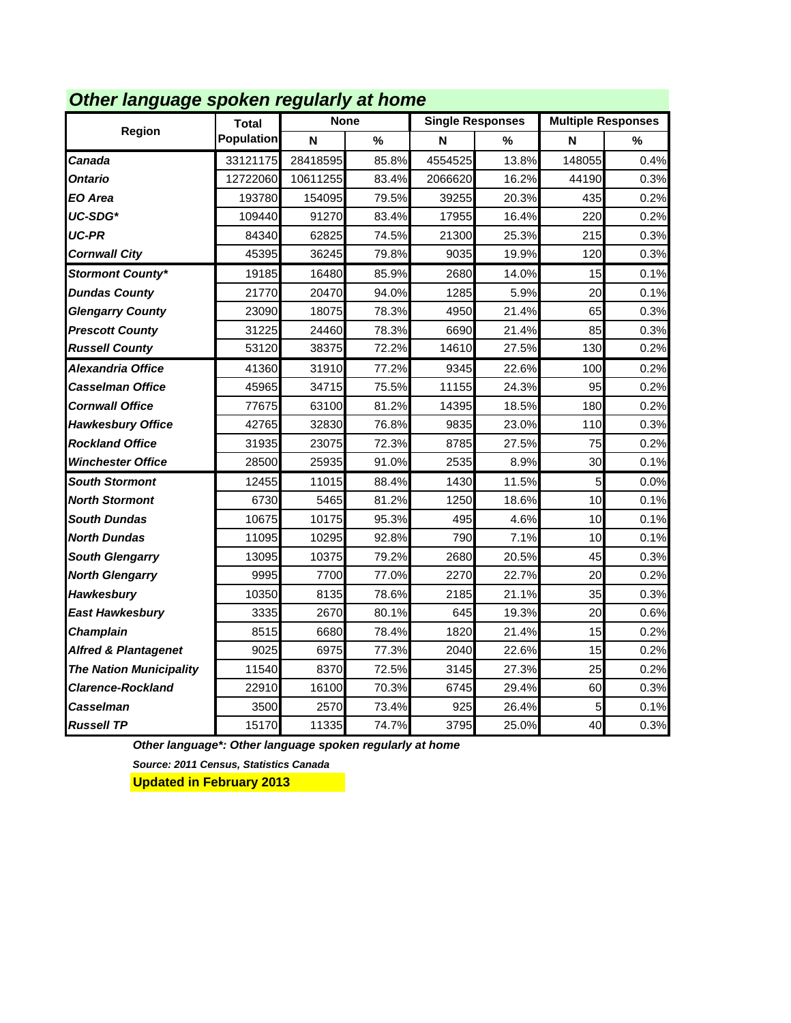|                                 |                   | Other language spoken regularly at home |       |         |                         |                           |         |  |  |
|---------------------------------|-------------------|-----------------------------------------|-------|---------|-------------------------|---------------------------|---------|--|--|
| Region                          | <b>Total</b>      | <b>None</b>                             |       |         | <b>Single Responses</b> | <b>Multiple Responses</b> |         |  |  |
|                                 | <b>Population</b> | N                                       | $\%$  | N       | %                       | N                         | %       |  |  |
| Canada                          | 33121175          | 28418595                                | 85.8% | 4554525 | 13.8%                   | 148055                    | 0.4%    |  |  |
| Ontario                         | 12722060          | 10611255                                | 83.4% | 2066620 | 16.2%                   | 44190                     | 0.3%    |  |  |
| EO Area                         | 193780            | 154095                                  | 79.5% | 39255   | 20.3%                   | 435                       | 0.2%    |  |  |
| UC-SDG*                         | 109440            | 91270                                   | 83.4% | 17955   | 16.4%                   | 220                       | 0.2%    |  |  |
| UC-PR                           | 84340             | 62825                                   | 74.5% | 21300   | 25.3%                   | 215                       | 0.3%    |  |  |
| <b>Cornwall City</b>            | 45395             | 36245                                   | 79.8% | 9035    | 19.9%                   | 120                       | 0.3%    |  |  |
| <b>Stormont County*</b>         | 19185             | 16480                                   | 85.9% | 2680    | 14.0%                   | 15                        | 0.1%    |  |  |
| <b>Dundas County</b>            | 21770             | 20470                                   | 94.0% | 1285    | 5.9%                    | 20                        | 0.1%    |  |  |
| <b>Glengarry County</b>         | 23090             | 18075                                   | 78.3% | 4950    | 21.4%                   | 65                        | 0.3%    |  |  |
| <b>Prescott County</b>          | 31225             | 24460                                   | 78.3% | 6690    | 21.4%                   | 85                        | 0.3%    |  |  |
| <b>Russell County</b>           | 53120             | 38375                                   | 72.2% | 14610   | 27.5%                   | 130                       | 0.2%    |  |  |
| Alexandria Office               | 41360             | 31910                                   | 77.2% | 9345    | 22.6%                   | 100                       | 0.2%    |  |  |
| Casselman Office                | 45965             | 34715                                   | 75.5% | 11155   | 24.3%                   | 95                        | 0.2%    |  |  |
| <b>Cornwall Office</b>          | 77675             | 63100                                   | 81.2% | 14395   | 18.5%                   | 180                       | 0.2%    |  |  |
| <b>Hawkesbury Office</b>        | 42765             | 32830                                   | 76.8% | 9835    | 23.0%                   | 110                       | 0.3%    |  |  |
| <b>Rockland Office</b>          | 31935             | 23075                                   | 72.3% | 8785    | 27.5%                   | 75                        | 0.2%    |  |  |
| <b>Winchester Office</b>        | 28500             | 25935                                   | 91.0% | 2535    | 8.9%                    | 30                        | 0.1%    |  |  |
| <b>South Stormont</b>           | 12455             | 11015                                   | 88.4% | 1430    | 11.5%                   | 5                         | 0.0%    |  |  |
| <b>North Stormont</b>           | 6730              | 5465                                    | 81.2% | 1250    | 18.6%                   | 10                        | 0.1%    |  |  |
| <b>South Dundas</b>             | 10675             | 10175                                   | 95.3% | 495     | 4.6%                    | 10                        | 0.1%    |  |  |
| <b>North Dundas</b>             | 11095             | 10295                                   | 92.8% | 790     | 7.1%                    | 10                        | 0.1%    |  |  |
| <b>South Glengarry</b>          | 13095             | 10375                                   | 79.2% | 2680    | 20.5%                   | 45                        | 0.3%    |  |  |
| <b>North Glengarry</b>          | 9995              | 7700                                    | 77.0% | 2270    | 22.7%                   | 20                        | 0.2%    |  |  |
| Hawkesbury                      | 10350             | 8135                                    | 78.6% | 2185    | 21.1%                   | 35                        | 0.3%    |  |  |
| <b>East Hawkesbury</b>          | 3335              | 2670                                    | 80.1% | 645     | 19.3%                   | 20                        | 0.6%    |  |  |
| Champlain                       | 8515              | 6680                                    | 78.4% | 1820    | 21.4%                   | 15                        | 0.2%    |  |  |
| <b>Alfred &amp; Plantagenet</b> | 9025              | 6975                                    | 77.3% | 2040    | 22.6%                   | 15                        | 0.2%    |  |  |
| <b>The Nation Municipality</b>  | 11540             | 8370                                    | 72.5% | 3145    | 27.3%                   | 25                        | 0.2%    |  |  |
| <b>Clarence-Rockland</b>        | 22910             | 16100                                   | 70.3% | 6745    | 29.4%                   | 60                        | 0.3%    |  |  |
| Casselman                       | 3500              | 2570                                    | 73.4% | 925     | 26.4%                   | 5                         | $0.1\%$ |  |  |
| <b>Russell TP</b>               | 15170             | 11335                                   | 74.7% | 3795    | 25.0%                   | 40                        | 0.3%    |  |  |

#### *Other language spoken regularly at home*

*Other language\*: Other language spoken regularly at home*

*Source: 2011 Census, Statistics Canada*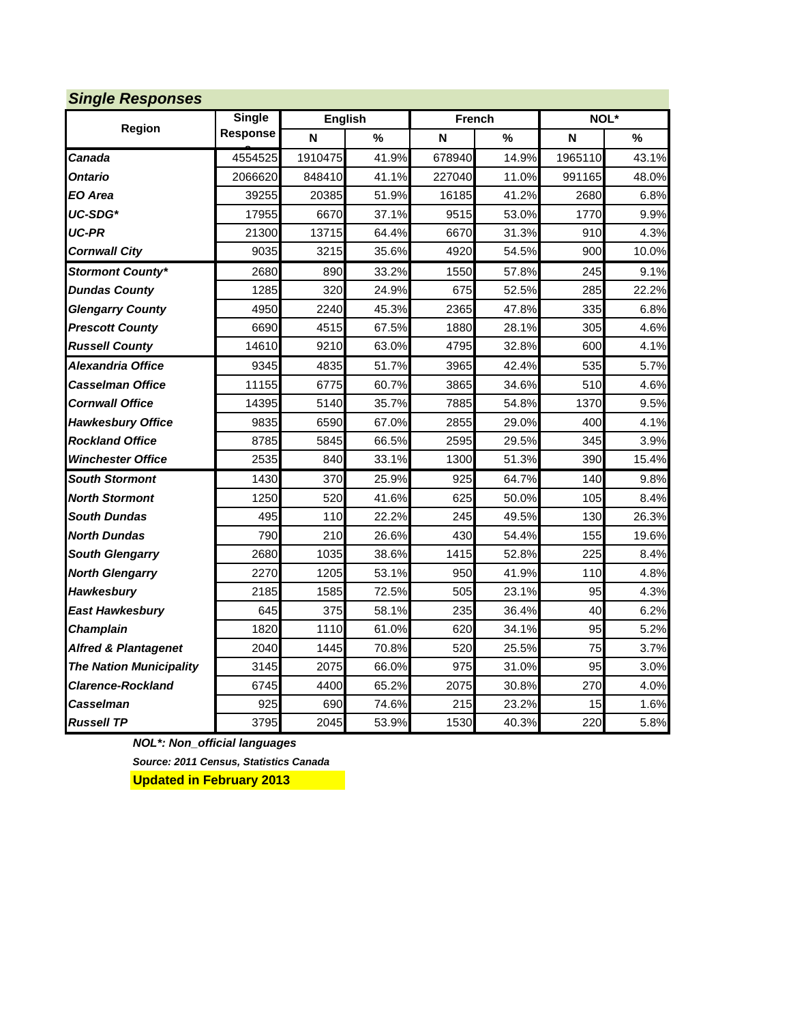| <b>Single Responses</b>         |               |         |         |        |               |         |               |
|---------------------------------|---------------|---------|---------|--------|---------------|---------|---------------|
| Region                          | <b>Single</b> |         | English |        | <b>French</b> |         | NOL*          |
|                                 | Response      | N       | $\%$    | N      | $\frac{9}{6}$ | N       | $\frac{0}{0}$ |
| Canada                          | 4554525       | 1910475 | 41.9%   | 678940 | 14.9%         | 1965110 | 43.1%         |
| Ontario                         | 2066620       | 848410  | 41.1%   | 227040 | 11.0%         | 991165  | 48.0%         |
| EO Area                         | 39255         | 20385   | 51.9%   | 16185  | 41.2%         | 2680    | 6.8%          |
| UC-SDG*                         | 17955         | 6670    | 37.1%   | 9515   | 53.0%         | 1770    | 9.9%          |
| <b>UC-PR</b>                    | 21300         | 13715   | 64.4%   | 6670   | 31.3%         | 910     | 4.3%          |
| <b>Cornwall City</b>            | 9035          | 3215    | 35.6%   | 4920   | 54.5%         | 900     | 10.0%         |
| <b>Stormont County*</b>         | 2680          | 890     | 33.2%   | 1550   | 57.8%         | 245     | 9.1%          |
| <b>Dundas County</b>            | 1285          | 320     | 24.9%   | 675    | 52.5%         | 285     | 22.2%         |
| <b>Glengarry County</b>         | 4950          | 2240    | 45.3%   | 2365   | 47.8%         | 335     | 6.8%          |
| <b>Prescott County</b>          | 6690          | 4515    | 67.5%   | 1880   | 28.1%         | 305     | 4.6%          |
| <b>Russell County</b>           | 14610         | 9210    | 63.0%   | 4795   | 32.8%         | 600     | 4.1%          |
| Alexandria Office               | 9345          | 4835    | 51.7%   | 3965   | 42.4%         | 535     | 5.7%          |
| Casselman Office                | 11155         | 6775    | 60.7%   | 3865   | 34.6%         | 510     | 4.6%          |
| <b>Cornwall Office</b>          | 14395         | 5140    | 35.7%   | 7885   | 54.8%         | 1370    | 9.5%          |
| <b>Hawkesbury Office</b>        | 9835          | 6590    | 67.0%   | 2855   | 29.0%         | 400     | 4.1%          |
| <b>Rockland Office</b>          | 8785          | 5845    | 66.5%   | 2595   | 29.5%         | 345     | 3.9%          |
| <b>Winchester Office</b>        | 2535          | 840     | 33.1%   | 1300   | 51.3%         | 390     | 15.4%         |
| <b>South Stormont</b>           | 1430          | 370     | 25.9%   | 925    | 64.7%         | 140     | 9.8%          |
| <b>North Stormont</b>           | 1250          | 520     | 41.6%   | 625    | 50.0%         | 105     | 8.4%          |
| <b>South Dundas</b>             | 495           | 110     | 22.2%   | 245    | 49.5%         | 130     | 26.3%         |
| <b>North Dundas</b>             | 790           | 210     | 26.6%   | 430    | 54.4%         | 155     | 19.6%         |
| <b>South Glengarry</b>          | 2680          | 1035    | 38.6%   | 1415   | 52.8%         | 225     | 8.4%          |
| <b>North Glengarry</b>          | 2270          | 1205    | 53.1%   | 950    | 41.9%         | 110     | 4.8%          |
| Hawkesbury                      | 2185          | 1585    | 72.5%   | 505    | 23.1%         | 95      | 4.3%          |
| <b>East Hawkesbury</b>          | 645           | 375     | 58.1%   | 235    | 36.4%         | 40      | 6.2%          |
| Champlain                       | 1820          | 1110    | 61.0%   | 620    | 34.1%         | 95      | 5.2%          |
| <b>Alfred &amp; Plantagenet</b> | 2040          | 1445    | 70.8%   | 520    | 25.5%         | 75      | 3.7%          |
| <b>The Nation Municipality</b>  | 3145          | 2075    | 66.0%   | 975    | 31.0%         | 95      | 3.0%          |
| <b>Clarence-Rockland</b>        | 6745          | 4400    | 65.2%   | 2075   | 30.8%         | 270     | 4.0%          |
| Casselman                       | 925           | 690     | 74.6%   | 215    | 23.2%         | 15      | 1.6%          |
| <b>Russell TP</b>               | 3795          | 2045    | 53.9%   | 1530   | 40.3%         | 220     | 5.8%          |

*NOL\*: Non\_official languages Source: 2011 Census, Statistics Canada*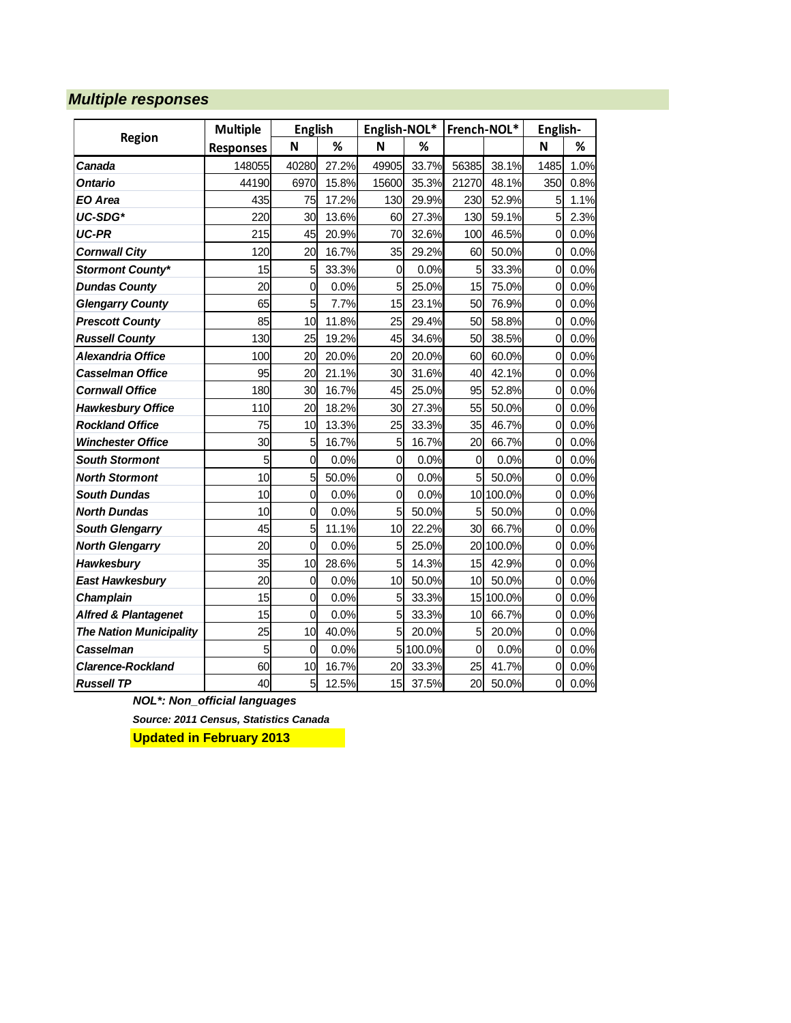#### *Multiple responses*

|                                 | <b>Multiple</b>  | <b>English</b> |       | English-NOL*   |        | French-NOL*     |        | English-       |      |
|---------------------------------|------------------|----------------|-------|----------------|--------|-----------------|--------|----------------|------|
| Region                          | <b>Responses</b> | N              | %     | N              | %      |                 |        | N              | %    |
| Canada                          | 148055           | 40280          | 27.2% | 49905          | 33.7%  | 56385           | 38.1%  | 1485           | 1.0% |
| <b>Ontario</b>                  | 44190            | 6970           | 15.8% | 15600          | 35.3%  | 21270           | 48.1%  | 350            | 0.8% |
| <b>EO Area</b>                  | 435              | 75             | 17.2% | 130            | 29.9%  | 230             | 52.9%  | 5              | 1.1% |
| UC-SDG*                         | 220              | 30             | 13.6% | 60             | 27.3%  | 130             | 59.1%  | 5              | 2.3% |
| UC-PR                           | 215              | 45             | 20.9% | 70             | 32.6%  | 100             | 46.5%  | 0              | 0.0% |
| <b>Cornwall City</b>            | 120              | 20             | 16.7% | 35             | 29.2%  | 60              | 50.0%  | 0              | 0.0% |
| <b>Stormont County*</b>         | 15               | 5              | 33.3% | $\mathbf 0$    | 0.0%   | 5               | 33.3%  | $\overline{0}$ | 0.0% |
| <b>Dundas County</b>            | 20               | 0              | 0.0%  | 5              | 25.0%  | 15              | 75.0%  | 0              | 0.0% |
| <b>Glengarry County</b>         | 65               | 5              | 7.7%  | 15             | 23.1%  | 50              | 76.9%  | 0              | 0.0% |
| <b>Prescott County</b>          | 85               | 10             | 11.8% | 25             | 29.4%  | 50              | 58.8%  | $\mathbf 0$    | 0.0% |
| <b>Russell County</b>           | 130              | 25             | 19.2% | 45             | 34.6%  | 50              | 38.5%  | $\mathbf 0$    | 0.0% |
| <b>Alexandria Office</b>        | 100              | 20             | 20.0% | 20             | 20.0%  | 60              | 60.0%  | $\mathbf 0$    | 0.0% |
| <b>Casselman Office</b>         | 95               | 20             | 21.1% | 30             | 31.6%  | 40              | 42.1%  | 0              | 0.0% |
| <b>Cornwall Office</b>          | 180              | 30             | 16.7% | 45             | 25.0%  | 95              | 52.8%  | $\mathbf 0$    | 0.0% |
| <b>Hawkesbury Office</b>        | 110              | 20             | 18.2% | 30             | 27.3%  | 55              | 50.0%  | 0              | 0.0% |
| <b>Rockland Office</b>          | 75               | 10             | 13.3% | 25             | 33.3%  | 35              | 46.7%  | 0              | 0.0% |
| <b>Winchester Office</b>        | 30               | 5              | 16.7% | 5              | 16.7%  | 20              | 66.7%  | 0              | 0.0% |
| <b>South Stormont</b>           | 5                | $\overline{0}$ | 0.0%  | $\overline{0}$ | 0.0%   | $\overline{0}$  | 0.0%   | $\mathbf 0$    | 0.0% |
| <b>North Stormont</b>           | 10               | 5              | 50.0% | $\mathbf 0$    | 0.0%   | $5\overline{)}$ | 50.0%  | 0              | 0.0% |
| <b>South Dundas</b>             | 10               | 0              | 0.0%  | $\mathbf 0$    | 0.0%   | 10              | 100.0% | 0              | 0.0% |
| <b>North Dundas</b>             | 10               | 0              | 0.0%  | 5              | 50.0%  | 5               | 50.0%  | 0              | 0.0% |
| <b>South Glengarry</b>          | 45               | 5              | 11.1% | 10             | 22.2%  | 30              | 66.7%  | 0              | 0.0% |
| <b>North Glengarry</b>          | 20               | $\overline{0}$ | 0.0%  | 5              | 25.0%  | 20              | 100.0% | 0              | 0.0% |
| Hawkesbury                      | 35               | 10             | 28.6% | 5              | 14.3%  | 15              | 42.9%  | 0              | 0.0% |
| <b>East Hawkesbury</b>          | 20               | 0              | 0.0%  | 10             | 50.0%  | 10              | 50.0%  | 0              | 0.0% |
| <b>Champlain</b>                | 15               | $\overline{0}$ | 0.0%  | 5              | 33.3%  | 15              | 100.0% | $\mathbf 0$    | 0.0% |
| <b>Alfred &amp; Plantagenet</b> | 15               | 0              | 0.0%  | 5              | 33.3%  | 10              | 66.7%  | $\mathbf 0$    | 0.0% |
| <b>The Nation Municipality</b>  | 25               | 10             | 40.0% | 5              | 20.0%  | 5               | 20.0%  | $\mathbf 0$    | 0.0% |
| Casselman                       | 5                | $\mathbf{0}$   | 0.0%  | 5              | 100.0% | $\mathbf 0$     | 0.0%   | 0              | 0.0% |
| <b>Clarence-Rockland</b>        | 60               | 10             | 16.7% | 20             | 33.3%  | 25              | 41.7%  | 0              | 0.0% |
| <b>Russell TP</b>               | 40               | 5              | 12.5% | 15             | 37.5%  | 20              | 50.0%  | $\overline{0}$ | 0.0% |

*NOL\*: Non\_official languages*

*Source: 2011 Census, Statistics Canada*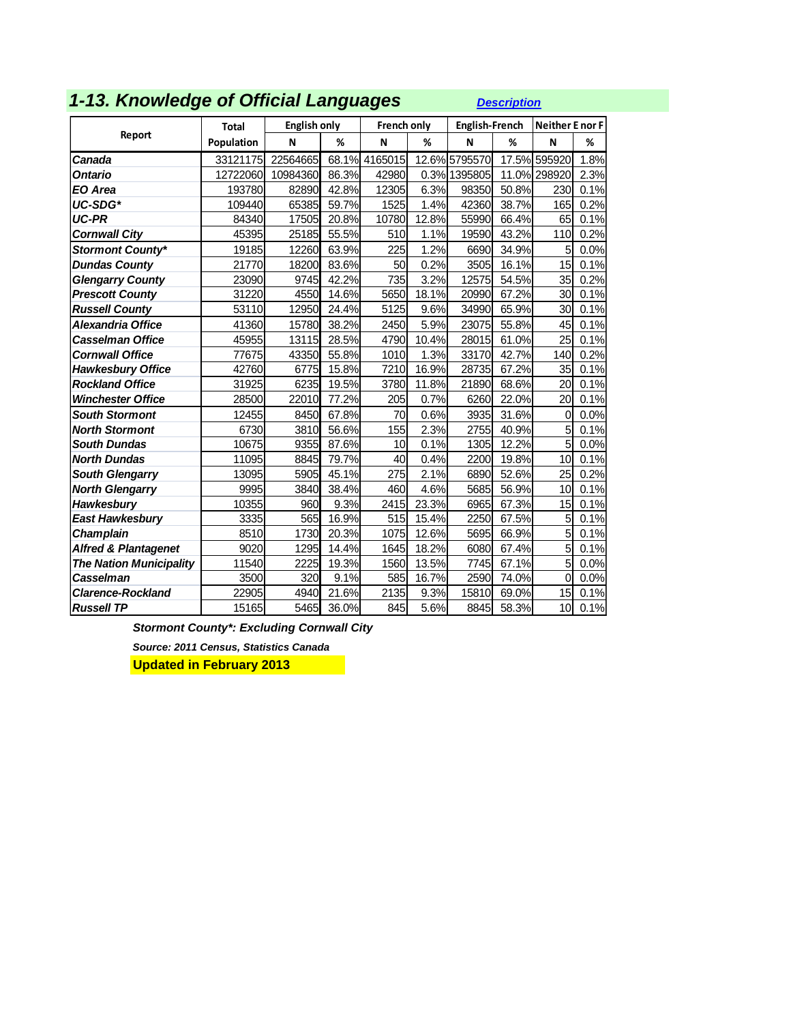| 1-13. Knowledge of Official Languages |
|---------------------------------------|
|---------------------------------------|

*1-13. Knowledge of Official Languages [Description](http://www.apheo.ca/index.php?pid=70)*

|                                 | <b>Total</b> | <b>English only</b> |       | <b>French only</b> |       | <b>English-French</b> |       | <b>Neither E nor F</b> |      |
|---------------------------------|--------------|---------------------|-------|--------------------|-------|-----------------------|-------|------------------------|------|
| Report                          | Population   | N                   | %     | N                  | %     | N                     | %     | N                      | %    |
| Canada                          | 33121175     | 22564665            | 68.1% | 4165015            |       | 12.6% 5795570         | 17.5% | 595920                 | 1.8% |
| <b>Ontario</b>                  | 12722060     | 10984360            | 86.3% | 42980              |       | 0.3% 1395805          |       | 11.0% 298920           | 2.3% |
| EO Area                         | 193780       | 82890               | 42.8% | 12305              | 6.3%  | 98350                 | 50.8% | 230                    | 0.1% |
| UC-SDG*                         | 109440       | 65385               | 59.7% | 1525               | 1.4%  | 42360                 | 38.7% | 165                    | 0.2% |
| <b>UC-PR</b>                    | 84340        | 17505               | 20.8% | 10780              | 12.8% | 55990                 | 66.4% | 65                     | 0.1% |
| <b>Cornwall City</b>            | 45395        | 25185               | 55.5% | 510                | 1.1%  | 19590                 | 43.2% | 110                    | 0.2% |
| <b>Stormont County*</b>         | 19185        | 12260               | 63.9% | 225                | 1.2%  | 6690                  | 34.9% | $5\overline{a}$        | 0.0% |
| <b>Dundas County</b>            | 21770        | 18200               | 83.6% | 50                 | 0.2%  | 3505                  | 16.1% | 15                     | 0.1% |
| <b>Glengarry County</b>         | 23090        | 9745                | 42.2% | 735                | 3.2%  | 12575                 | 54.5% | 35                     | 0.2% |
| <b>Prescott County</b>          | 31220        | 4550                | 14.6% | 5650               | 18.1% | 20990                 | 67.2% | 30                     | 0.1% |
| <b>Russell County</b>           | 53110        | 12950               | 24.4% | 5125               | 9.6%  | 34990                 | 65.9% | 30                     | 0.1% |
| <b>Alexandria Office</b>        | 41360        | 15780               | 38.2% | 2450               | 5.9%  | 23075                 | 55.8% | 45                     | 0.1% |
| <b>Casselman Office</b>         | 45955        | 13115               | 28.5% | 4790               | 10.4% | 28015                 | 61.0% | 25                     | 0.1% |
| <b>Cornwall Office</b>          | 77675        | 43350               | 55.8% | 1010               | 1.3%  | 33170                 | 42.7% | 140                    | 0.2% |
| <b>Hawkesbury Office</b>        | 42760        | 6775                | 15.8% | 7210               | 16.9% | 28735                 | 67.2% | 35                     | 0.1% |
| <b>Rockland Office</b>          | 31925        | 6235                | 19.5% | 3780               | 11.8% | 21890                 | 68.6% | 20                     | 0.1% |
| <b>Winchester Office</b>        | 28500        | 22010               | 77.2% | 205                | 0.7%  | 6260                  | 22.0% | 20                     | 0.1% |
| <b>South Stormont</b>           | 12455        | 8450                | 67.8% | 70                 | 0.6%  | 3935                  | 31.6% | $\overline{0}$         | 0.0% |
| <b>North Stormont</b>           | 6730         | 3810                | 56.6% | 155                | 2.3%  | 2755                  | 40.9% | 5                      | 0.1% |
| <b>South Dundas</b>             | 10675        | 9355                | 87.6% | 10                 | 0.1%  | 1305                  | 12.2% | 5                      | 0.0% |
| <b>North Dundas</b>             | 11095        | 8845                | 79.7% | 40                 | 0.4%  | 2200                  | 19.8% | 10                     | 0.1% |
| <b>South Glengarry</b>          | 13095        | 5905                | 45.1% | 275                | 2.1%  | 6890                  | 52.6% | 25                     | 0.2% |
| <b>North Glengarry</b>          | 9995         | 3840                | 38.4% | 460                | 4.6%  | 5685                  | 56.9% | 10                     | 0.1% |
| <b>Hawkesbury</b>               | 10355        | 960                 | 9.3%  | 2415               | 23.3% | 6965                  | 67.3% | 15                     | 0.1% |
| <b>East Hawkesbury</b>          | 3335         | 565                 | 16.9% | 515                | 15.4% | 2250                  | 67.5% | 5                      | 0.1% |
| <b>Champlain</b>                | 8510         | 1730                | 20.3% | 1075               | 12.6% | 5695                  | 66.9% | $\overline{5}$         | 0.1% |
| <b>Alfred &amp; Plantagenet</b> | 9020         | 1295                | 14.4% | 1645               | 18.2% | 6080                  | 67.4% | $\overline{5}$         | 0.1% |
| <b>The Nation Municipality</b>  | 11540        | 2225                | 19.3% | 1560               | 13.5% | 7745                  | 67.1% | 5                      | 0.0% |
| Casselman                       | 3500         | 320                 | 9.1%  | 585                | 16.7% | 2590                  | 74.0% | 0                      | 0.0% |
| <b>Clarence-Rockland</b>        | 22905        | 4940                | 21.6% | 2135               | 9.3%  | 15810                 | 69.0% | 15                     | 0.1% |
| <b>Russell TP</b>               | 15165        | 5465                | 36.0% | 845                | 5.6%  | 8845                  | 58.3% | 10                     | 0.1% |

*Stormont County\*: Excluding Cornwall City*

*Source: 2011 Census, Statistics Canada*